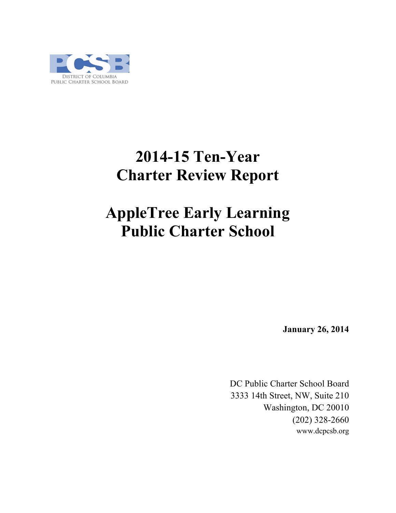

# **2014-15 Ten-Year Charter Review Report**

# **AppleTree Early Learning Public Charter School**

**January 26, 2014**

DC Public Charter School Board 3333 14th Street, NW, Suite 210 Washington, DC 20010 (202) 328-2660 www.dcpcsb.org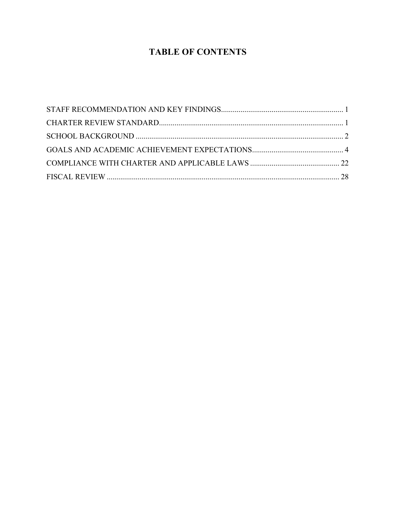## **TABLE OF CONTENTS**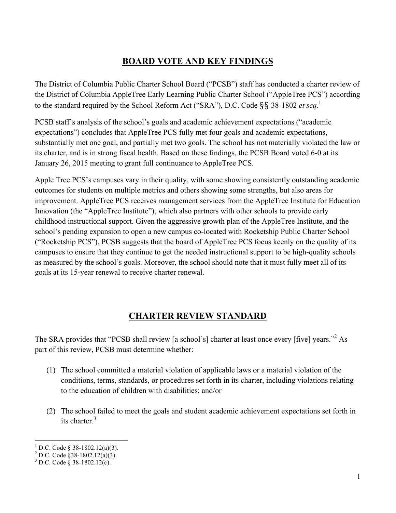## **BOARD VOTE AND KEY FINDINGS**

The District of Columbia Public Charter School Board ("PCSB") staff has conducted a charter review of the District of Columbia AppleTree Early Learning Public Charter School ("AppleTree PCS") according to the standard required by the School Reform Act ("SRA"), D.C. Code §§ 38-1802 *et seq*. 1

PCSB staff's analysis of the school's goals and academic achievement expectations ("academic expectations") concludes that AppleTree PCS fully met four goals and academic expectations, substantially met one goal, and partially met two goals. The school has not materially violated the law or its charter, and is in strong fiscal health. Based on these findings, the PCSB Board voted 6-0 at its January 26, 2015 meeting to grant full continuance to AppleTree PCS.

Apple Tree PCS's campuses vary in their quality, with some showing consistently outstanding academic outcomes for students on multiple metrics and others showing some strengths, but also areas for improvement. AppleTree PCS receives management services from the AppleTree Institute for Education Innovation (the "AppleTree Institute"), which also partners with other schools to provide early childhood instructional support. Given the aggressive growth plan of the AppleTree Institute, and the school's pending expansion to open a new campus co-located with Rocketship Public Charter School ("Rocketship PCS"), PCSB suggests that the board of AppleTree PCS focus keenly on the quality of its campuses to ensure that they continue to get the needed instructional support to be high-quality schools as measured by the school's goals. Moreover, the school should note that it must fully meet all of its goals at its 15-year renewal to receive charter renewal.

## **CHARTER REVIEW STANDARD**

The SRA provides that "PCSB shall review [a school's] charter at least once every [five] years."<sup>2</sup> As part of this review, PCSB must determine whether:

- (1) The school committed a material violation of applicable laws or a material violation of the conditions, terms, standards, or procedures set forth in its charter, including violations relating to the education of children with disabilities; and/or
- (2) The school failed to meet the goals and student academic achievement expectations set forth in its charter.<sup>3</sup>

<sup>&</sup>lt;sup>1</sup> D.C. Code § 38-1802.12(a)(3).<br><sup>2</sup> D.C. Code §38-1802.12(a)(3).<br><sup>3</sup> D.C. Code § 38-1802.12(c).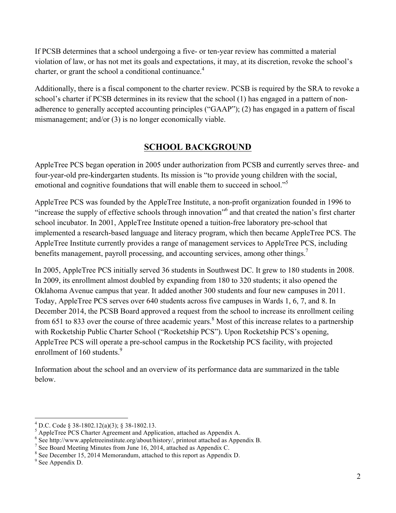If PCSB determines that a school undergoing a five- or ten-year review has committed a material violation of law, or has not met its goals and expectations, it may, at its discretion, revoke the school's charter, or grant the school a conditional continuance.<sup>4</sup>

Additionally, there is a fiscal component to the charter review. PCSB is required by the SRA to revoke a school's charter if PCSB determines in its review that the school (1) has engaged in a pattern of nonadherence to generally accepted accounting principles ("GAAP"); (2) has engaged in a pattern of fiscal mismanagement; and/or (3) is no longer economically viable.

## **SCHOOL BACKGROUND**

AppleTree PCS began operation in 2005 under authorization from PCSB and currently serves three- and four-year-old pre-kindergarten students. Its mission is "to provide young children with the social, emotional and cognitive foundations that will enable them to succeed in school."<sup>5</sup>

AppleTree PCS was founded by the AppleTree Institute, a non-profit organization founded in 1996 to "increase the supply of effective schools through innovation"<sup>6</sup> and that created the nation's first charter school incubator. In 2001, AppleTree Institute opened a tuition-free laboratory pre-school that implemented a research-based language and literacy program, which then became AppleTree PCS. The AppleTree Institute currently provides a range of management services to AppleTree PCS, including benefits management, payroll processing, and accounting services, among other things.<sup>7</sup>

In 2005, AppleTree PCS initially served 36 students in Southwest DC. It grew to 180 students in 2008. In 2009, its enrollment almost doubled by expanding from 180 to 320 students; it also opened the Oklahoma Avenue campus that year. It added another 300 students and four new campuses in 2011. Today, AppleTree PCS serves over 640 students across five campuses in Wards 1, 6, 7, and 8. In December 2014, the PCSB Board approved a request from the school to increase its enrollment ceiling from 651 to 833 over the course of three academic years.<sup>8</sup> Most of this increase relates to a partnership with Rocketship Public Charter School ("Rocketship PCS"). Upon Rocketship PCS's opening, AppleTree PCS will operate a pre-school campus in the Rocketship PCS facility, with projected enrollment of 160 students.<sup>9</sup>

Information about the school and an overview of its performance data are summarized in the table below.

<sup>&</sup>lt;sup>4</sup> D.C. Code § 38-1802.12(a)(3); § 38-1802.13.<br><sup>5</sup> AppleTree PCS Charter Agreement and Application, attached as Appendix A.<br><sup>6</sup> See http://www.appletreeinstitute.org/about/history/, printout attached as Appendix B.<br><sup>7</sup> S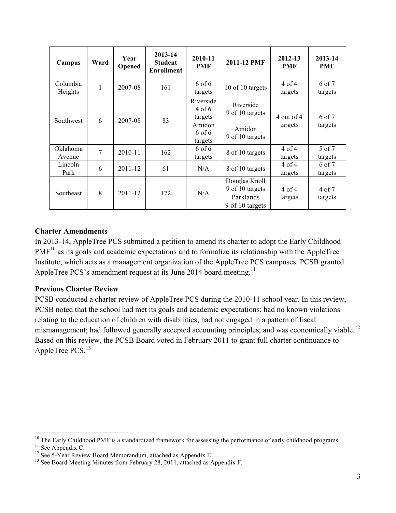| Campus              | Ward | Year<br>Opened | 2013-14<br><b>Student</b><br><b>Enrollment</b> | 2010-11<br><b>PMF</b>          | 2011-12 PMF                                                      | 2012-13<br><b>PMF</b> | 2013-14<br><b>PMF</b> |  |
|---------------------|------|----------------|------------------------------------------------|--------------------------------|------------------------------------------------------------------|-----------------------|-----------------------|--|
| Columbia<br>Heights | 1    | 2007-08        | 161                                            | $6$ of $6$<br>targets          | 10 of 10 targets                                                 | $4$ of $4$<br>targets | 6 of 7<br>targets     |  |
|                     |      | 2007-08        | 83                                             | Riverside<br>4 of 6<br>targets | Riverside<br>9 of 10 targets                                     | 4 out of 4            | 6 of 7                |  |
| Southwest           | 6    |                |                                                | Amidon<br>6 of 6<br>targets    | Amidon<br>9 of 10 targets                                        | targets               | targets               |  |
| Oklahoma<br>Avenue  | 7    | 2010-11        | 162                                            | $6$ of $6$<br>targets          | 8 of 10 targets                                                  | $4$ of $4$<br>targets | 5 of 7<br>targets     |  |
| Lincoln<br>Park     | 6    | $2011 - 12$    | 61                                             | N/A                            | 8 of 10 targets                                                  | $4$ of $4$<br>targets | 6 of 7<br>targets     |  |
| Southeast           | 8    | 2011-12        | 172                                            | N/A                            | Douglas Knoll<br>9 of 10 targets<br>Parklands<br>9 of 10 targets | $4$ of $4$<br>targets | 4 of 7<br>targets     |  |

#### **Charter Amendments**

In 2013-14, AppleTree PCS submitted a petition to amend its charter to adopt the Early Childhood  $PMF<sup>10</sup>$  as its goals and academic expectations and to formalize its relationship with the AppleTree Institute, which acts as a management organization of the AppleTree PCS campuses. PCSB granted AppleTree PCS's amendment request at its June 2014 board meeting.<sup>11</sup>

#### **Previous Charter Review**

PCSB conducted a charter review of AppleTree PCS during the 2010-11 school year. In this review, PCSB noted that the school had met its goals and academic expectations; had no known violations relating to the education of children with disabilities; had not engaged in a pattern of fiscal mismanagement; had followed generally accepted accounting principles; and was economically viable.<sup>12</sup> Based on this review, the PCSB Board voted in February 2011 to grant full charter continuance to AppleTree PCS.<sup>13</sup>

<sup>&</sup>lt;sup>10</sup> The Early Childhood PMF is a standardized framework for assessing the performance of early childhood programs.<br><sup>11</sup> See Appendix C.<br><sup>12</sup> See 5-Year Review Board Memorandum, attached as Appendix E.<br><sup>13</sup> See Board Meet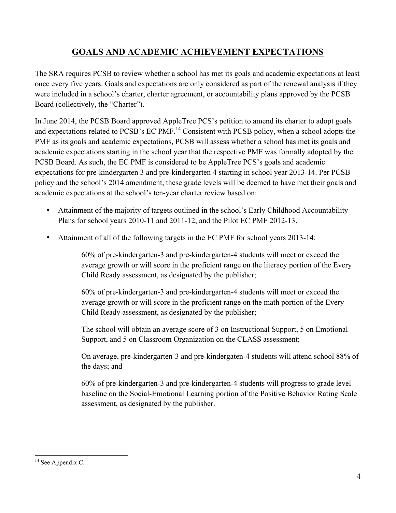## **GOALS AND ACADEMIC ACHIEVEMENT EXPECTATIONS**

The SRA requires PCSB to review whether a school has met its goals and academic expectations at least once every five years. Goals and expectations are only considered as part of the renewal analysis if they were included in a school's charter, charter agreement, or accountability plans approved by the PCSB Board (collectively, the "Charter").

In June 2014, the PCSB Board approved AppleTree PCS's petition to amend its charter to adopt goals and expectations related to PCSB's EC PMF.<sup>14</sup> Consistent with PCSB policy, when a school adopts the PMF as its goals and academic expectations, PCSB will assess whether a school has met its goals and academic expectations starting in the school year that the respective PMF was formally adopted by the PCSB Board. As such, the EC PMF is considered to be AppleTree PCS's goals and academic expectations for pre-kindergarten 3 and pre-kindergarten 4 starting in school year 2013-14. Per PCSB policy and the school's 2014 amendment, these grade levels will be deemed to have met their goals and academic expectations at the school's ten-year charter review based on:

- Attainment of the majority of targets outlined in the school's Early Childhood Accountability Plans for school years 2010-11 and 2011-12, and the Pilot EC PMF 2012-13.
- Attainment of all of the following targets in the EC PMF for school years 2013-14:

60% of pre-kindergarten-3 and pre-kindergarten-4 students will meet or exceed the average growth or will score in the proficient range on the literacy portion of the Every Child Ready assessment, as designated by the publisher;

60% of pre-kindergarten-3 and pre-kindergarten-4 students will meet or exceed the average growth or will score in the proficient range on the math portion of the Every Child Ready assessment, as designated by the publisher;

The school will obtain an average score of 3 on Instructional Support, 5 on Emotional Support, and 5 on Classroom Organization on the CLASS assessment;

On average, pre-kindergarten-3 and pre-kindergaten-4 students will attend school 88% of the days; and

60% of pre-kindergarten-3 and pre-kindergarten-4 students will progress to grade level baseline on the Social-Emotional Learning portion of the Positive Behavior Rating Scale assessment, as designated by the publisher.

<sup>&</sup>lt;sup>14</sup> See Appendix C.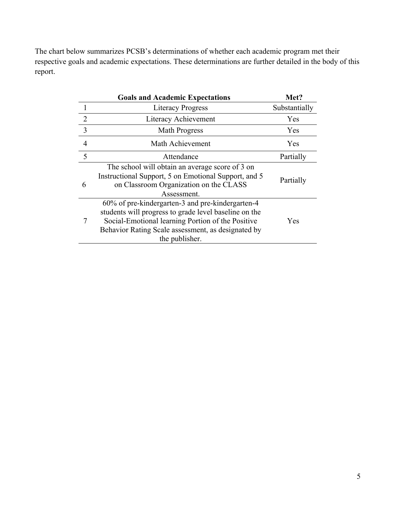The chart below summarizes PCSB's determinations of whether each academic program met their respective goals and academic expectations. These determinations are further detailed in the body of this report.

|   | <b>Goals and Academic Expectations</b>                                                                                                                                                                                                 | Met?          |
|---|----------------------------------------------------------------------------------------------------------------------------------------------------------------------------------------------------------------------------------------|---------------|
|   | <b>Literacy Progress</b>                                                                                                                                                                                                               | Substantially |
| 2 | Literacy Achievement                                                                                                                                                                                                                   | Yes           |
| 3 | <b>Math Progress</b>                                                                                                                                                                                                                   | Yes           |
| 4 | Math Achievement                                                                                                                                                                                                                       | Yes           |
| 5 | Attendance                                                                                                                                                                                                                             | Partially     |
| 6 | The school will obtain an average score of 3 on<br>Instructional Support, 5 on Emotional Support, and 5<br>on Classroom Organization on the CLASS<br>Assessment                                                                        | Partially     |
|   | 60% of pre-kindergarten-3 and pre-kindergarten-4<br>students will progress to grade level baseline on the<br>Social-Emotional learning Portion of the Positive<br>Behavior Rating Scale assessment, as designated by<br>the publisher. | Yes           |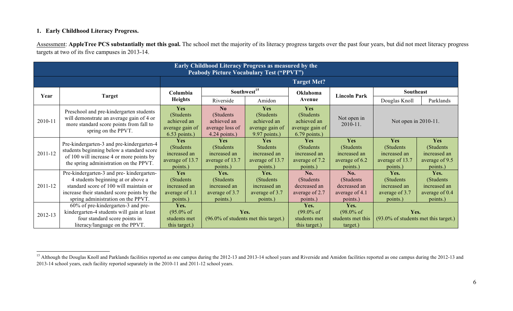#### **1. Early Childhood Literacy Progress.**

Assessment: **AppleTree PCS substantially met this goal.** The school met the majority of its literacy progress targets over the past four years, but did not meet literacy progress targets at two of its five campuses in 2013-14.

|             | <b>Early Childhood Literacy Progress as measured by the</b><br><b>Peabody Picture Vocabulary Test ("PPVT")</b>                                                                                                        |                                                                         |                                                                         |                                                                       |                                                                               |                                                                 |                                                                  |                                                                  |  |  |
|-------------|-----------------------------------------------------------------------------------------------------------------------------------------------------------------------------------------------------------------------|-------------------------------------------------------------------------|-------------------------------------------------------------------------|-----------------------------------------------------------------------|-------------------------------------------------------------------------------|-----------------------------------------------------------------|------------------------------------------------------------------|------------------------------------------------------------------|--|--|
|             |                                                                                                                                                                                                                       |                                                                         |                                                                         |                                                                       | <b>Target Met?</b>                                                            |                                                                 |                                                                  |                                                                  |  |  |
| Year        | Target                                                                                                                                                                                                                | Columbia                                                                |                                                                         | Southwest <sup>15</sup>                                               | Oklahoma                                                                      | <b>Lincoln Park</b>                                             | Southeast                                                        |                                                                  |  |  |
|             |                                                                                                                                                                                                                       | <b>Heights</b>                                                          | Riverside                                                               | Amidon                                                                | Avenue                                                                        |                                                                 | Douglas Knoll                                                    | Parklands                                                        |  |  |
| 2010-11     | Preschool and pre-kindergarten students<br>will demonstrate an average gain of 4 or<br>more standard score points from fall to<br>spring on the PPVT.                                                                 | Yes<br>(Students)<br>achieved an<br>average gain of<br>$6.53$ points.)  | No<br>(Students)<br>achieved an<br>average loss of<br>$4.24$ points.)   | Yes<br>(Students)<br>achieved an<br>average gain of<br>9.97 points.)  | <b>Yes</b><br>(Students)<br>achieved an<br>average gain of<br>$6.79$ points.) | Not open in<br>2010-11.                                         | Not open in 2010-11.                                             |                                                                  |  |  |
| 2011-12     | Pre-kindergarten-3 and pre-kindergarten-4<br>students beginning below a standard score<br>of 100 will increase 4 or more points by<br>the spring administration on the PPVT.                                          | <b>Yes</b><br>(Students)<br>increased an<br>average of 13.7<br>points.) | <b>Yes</b><br>(Students)<br>increased an<br>average of 13.7<br>points.) | Yes<br><b>Students</b><br>increased an<br>average of 13.7<br>points.) | <b>Yes</b><br>(Students)<br>increased an<br>average of 7.2<br>points.)        | Yes<br>(Students)<br>increased an<br>average of 6.2<br>points.) | Yes<br>(Students)<br>increased an<br>average of 13.7<br>points.) | Yes<br>(Students)<br>increased an<br>average of 9.5<br>points.)  |  |  |
| $2011 - 12$ | Pre-kindergarten-3 and pre-kindergarten-<br>4 students beginning at or above a<br>standard score of 100 will maintain or<br>increase their standard score points by the<br>spring administration on the PPVT.         | Yes<br>(Students)<br>increased an<br>average of 1.1<br>points.)         | Yes.<br>(Students)<br>increased an<br>average of 3.7<br>points.)        | Yes.<br>(Students)<br>increased an<br>average of 3.7<br>points.)      | No.<br>(Students)<br>decreased an<br>average of 2.7<br>points.)               | No.<br>(Students)<br>decreased an<br>average of 4.1<br>points.) | Yes.<br>(Students)<br>increased an<br>average of 3.7<br>points.) | Yes.<br>(Students)<br>increased an<br>average of 0.4<br>points.) |  |  |
| 2012-13     | 60% of pre-kindergarten-3 and pre-<br>Yes.<br>kindergarten-4 students will gain at least<br>$(95.0\% \text{ of }$<br>four standard score points in<br>students met<br>literacy/language on the PPVT.<br>this target.) |                                                                         | Yes.<br>$(96.0\% \text{ of students met this target.})$                 |                                                                       | Yes.<br>$(99.0\% \text{ of }$<br>students met<br>this target.)                | Yes.<br>$(98.0\% \text{ of }$<br>students met this<br>target.)  | Yes.<br>(93.0% of students met this target.)                     |                                                                  |  |  |

<sup>&</sup>lt;sup>15</sup> Although the Douglas Knoll and Parklands facilities reported as one campus during the 2012-13 and 2013-14 school years and Riverside and Amidon facilities reported as one campus during the 2012-13 and 2013-14 school years, each facility reported separately in the 2010-11 and 2011-12 school years.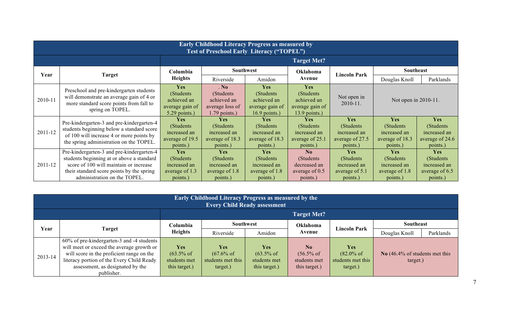|         | <b>Early Childhood Literacy Progress as measured by</b><br><b>Test of Preschool Early Literacy ("TOPEL")</b>                                                                                                  |                                                                               |                                                                         |                                                                        |                                                                               |                                                                        |                                                                        |                                                                         |  |  |
|---------|---------------------------------------------------------------------------------------------------------------------------------------------------------------------------------------------------------------|-------------------------------------------------------------------------------|-------------------------------------------------------------------------|------------------------------------------------------------------------|-------------------------------------------------------------------------------|------------------------------------------------------------------------|------------------------------------------------------------------------|-------------------------------------------------------------------------|--|--|
|         |                                                                                                                                                                                                               |                                                                               |                                                                         |                                                                        | <b>Target Met?</b>                                                            |                                                                        |                                                                        |                                                                         |  |  |
| Year    | Target                                                                                                                                                                                                        | Columbia                                                                      |                                                                         | <b>Southwest</b>                                                       | Oklahoma                                                                      | <b>Lincoln Park</b>                                                    | Southeast                                                              |                                                                         |  |  |
|         |                                                                                                                                                                                                               | <b>Heights</b>                                                                | Riverside                                                               | Amidon                                                                 | Avenue                                                                        |                                                                        | Douglas Knoll                                                          | Parklands                                                               |  |  |
| 2010-11 | Preschool and pre-kindergarten students<br>will demonstrate an average gain of 4 or<br>more standard score points from fall to<br>spring on TOPEL.                                                            | <b>Yes</b><br>(Students)<br>achieved an<br>average gain of<br>$5.29$ points.) | . No<br>(Students)<br>achieved an<br>average loss of<br>$1.79$ points.) | Yes<br>(Students)<br>achieved an<br>average gain of<br>$16.9$ points.) | <b>Yes</b><br>(Students)<br>achieved an<br>average gain of<br>$13.9$ points.) | Not open in<br>$2010 - 11.$                                            | Not open in 2010-11.                                                   |                                                                         |  |  |
| 2011-12 | Pre-kindergarten-3 and pre-kindergarten-4<br>students beginning below a standard score<br>of 100 will increase 4 or more points by<br>the spring administration on the TOPEL.                                 | <b>Yes</b><br>(Students<br>increased an<br>average of 19.5<br>points.)        | <b>Yes</b><br>(Students)<br>increased an<br>average of 18.3<br>points.) | <b>Yes</b><br>(Students<br>increased an<br>average of 18.3<br>points.) | Yes<br>(Students<br>increased an<br>average of 25.1<br>points.)               | Yes<br>(Students)<br>increased an<br>average of 27.5<br>points.)       | Yes<br>(Students)<br>increased an<br>average of 18.3<br>points.)       | <b>Yes</b><br>(Students)<br>increased an<br>average of 24.6<br>points.) |  |  |
| 2011-12 | Pre-kindergarten-3 and pre-kindergarten-4<br>students beginning at or above a standard<br>score of 100 will maintain or increase<br>their standard score points by the spring<br>administration on the TOPEL. | Yes<br>(Students)<br>increased an<br>average of 1.3<br>points.)               | <b>Yes</b><br>(Students)<br>increased an<br>average of 1.8<br>points.)  | <b>Yes</b><br>(Students)<br>increased an<br>average of 1.8<br>points.) | N <sub>0</sub><br>(Students)<br>decreased an<br>average of 0.5<br>points.)    | <b>Yes</b><br>(Students)<br>increased an<br>average of 5.1<br>points.) | <b>Yes</b><br>(Students)<br>increased an<br>average of 1.8<br>points.) | <b>Yes</b><br>(Students)<br>increased an<br>average of 6.5<br>points.)  |  |  |

|         | <b>Early Childhood Literacy Progress as measured by the</b><br><b>Every Child Ready assessment</b> |                       |                       |                       |                       |                       |                                                        |           |  |  |
|---------|----------------------------------------------------------------------------------------------------|-----------------------|-----------------------|-----------------------|-----------------------|-----------------------|--------------------------------------------------------|-----------|--|--|
|         | <b>Target Met?</b>                                                                                 |                       |                       |                       |                       |                       |                                                        |           |  |  |
| Year    | Target                                                                                             | Columbia              | <b>Southwest</b>      |                       | Oklahoma              | Lincoln Park          | <b>Southeast</b>                                       |           |  |  |
|         |                                                                                                    | <b>Heights</b>        | Riverside             | Amidon                | Avenue                |                       | Douglas Knoll                                          | Parklands |  |  |
|         | 60% of pre-kindergarten-3 and -4 students                                                          |                       |                       |                       |                       |                       |                                                        |           |  |  |
|         | will meet or exceed the average growth or                                                          | <b>Yes</b>            | <b>Yes</b>            | <b>Yes</b>            | N <sub>0</sub>        | <b>Yes</b>            |                                                        |           |  |  |
| 2013-14 | will score in the proficient range on the                                                          | $(63.5\% \text{ of }$ | $(67.6\% \text{ of }$ | $(63.5\% \text{ of }$ | $(56.5\% \text{ of }$ | $(82.0\% \text{ of }$ | No $(46.4\% \text{ of students met this})$<br>target.) |           |  |  |
|         | literacy portion of the Every Child Ready                                                          | students met          | students met this     | students met          | students met          | students met this     |                                                        |           |  |  |
|         | assessment, as designated by the                                                                   | this target.)         | target.)              | this target.)         | this target.)         | target.)              |                                                        |           |  |  |
|         | publisher.                                                                                         |                       |                       |                       |                       |                       |                                                        |           |  |  |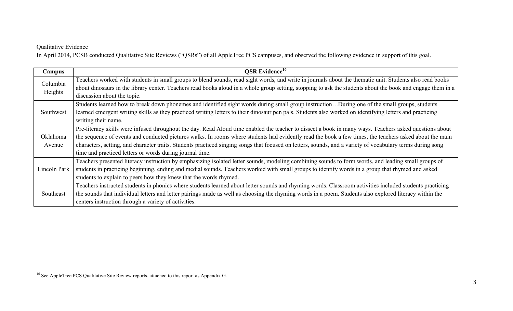#### Qualitative Evidence

In April 2014, PCSB conducted Qualitative Site Reviews ("QSRs") of all AppleTree PCS campuses, and observed the following evidence in support of this goal.

| Campus       | <b>OSR</b> Evidence <sup>16</sup>                                                                                                                           |
|--------------|-------------------------------------------------------------------------------------------------------------------------------------------------------------|
| Columbia     | Teachers worked with students in small groups to blend sounds, read sight words, and write in journals about the thematic unit. Students also read books    |
| Heights      | about dinosaurs in the library center. Teachers read books aloud in a whole group setting, stopping to ask the students about the book and engage them in a |
|              | discussion about the topic.                                                                                                                                 |
|              | Students learned how to break down phonemes and identified sight words during small group instructionDuring one of the small groups, students               |
| Southwest    | learned emergent writing skills as they practiced writing letters to their dinosaur pen pals. Students also worked on identifying letters and practicing    |
|              | writing their name.                                                                                                                                         |
|              | Pre-literacy skills were infused throughout the day. Read Aloud time enabled the teacher to dissect a book in many ways. Teachers asked questions about     |
| Oklahoma     | the sequence of events and conducted pictures walks. In rooms where students had evidently read the book a few times, the teachers asked about the main     |
| Avenue       | characters, setting, and character traits. Students practiced singing songs that focused on letters, sounds, and a variety of vocabulary terms during song  |
|              | time and practiced letters or words during journal time.                                                                                                    |
|              | Teachers presented literacy instruction by emphasizing isolated letter sounds, modeling combining sounds to form words, and leading small groups of         |
| Lincoln Park | students in practicing beginning, ending and medial sounds. Teachers worked with small groups to identify words in a group that rhymed and asked            |
|              | students to explain to peers how they knew that the words rhymed.                                                                                           |
|              | Teachers instructed students in phonics where students learned about letter sounds and rhyming words. Classroom activities included students practicing     |
| Southeast    | the sounds that individual letters and letter pairings made as well as choosing the rhyming words in a poem. Students also explored literacy within the     |
|              | centers instruction through a variety of activities.                                                                                                        |

<sup>&</sup>lt;sup>16</sup> See AppleTree PCS Qualitative Site Review reports, attached to this report as Appendix G.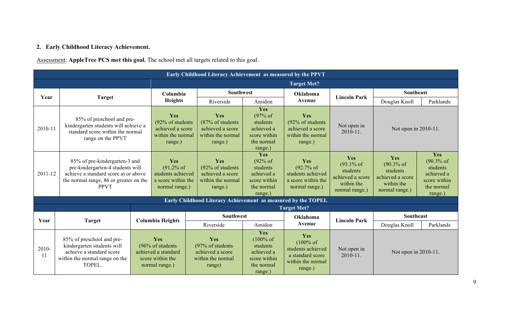# **2. Early Childhood Literacy Achievement.**

Assessment: **AppleTree PCS met this goal.** The school met all targets related to this goal.

|                        | Early Childhood Literacy Achievement as measured by the PPVT                                                                                                       |                                                                                       |                                                                               |                                                                                         |                                                                                                |                                                                                                      |                                                                                              |                                                                                    |                                                                                       |  |
|------------------------|--------------------------------------------------------------------------------------------------------------------------------------------------------------------|---------------------------------------------------------------------------------------|-------------------------------------------------------------------------------|-----------------------------------------------------------------------------------------|------------------------------------------------------------------------------------------------|------------------------------------------------------------------------------------------------------|----------------------------------------------------------------------------------------------|------------------------------------------------------------------------------------|---------------------------------------------------------------------------------------|--|
|                        |                                                                                                                                                                    |                                                                                       |                                                                               |                                                                                         |                                                                                                | <b>Target Met?</b>                                                                                   |                                                                                              |                                                                                    |                                                                                       |  |
|                        |                                                                                                                                                                    |                                                                                       | Columbia                                                                      | <b>Southwest</b>                                                                        |                                                                                                | Oklahoma                                                                                             | <b>Lincoln Park</b>                                                                          | <b>Southeast</b>                                                                   |                                                                                       |  |
| Year                   | Target                                                                                                                                                             |                                                                                       | <b>Heights</b>                                                                | Riverside                                                                               | Amidon                                                                                         | Avenue                                                                                               |                                                                                              | Douglas Knoll                                                                      | Parklands                                                                             |  |
| 2010-11                | 85% of preschool and pre-<br>kindergarten students will achieve a<br>standard score within the normal<br>range on the PPVT                                         |                                                                                       | Yes<br>(92% of students<br>achieved a score<br>within the normal<br>range.)   | Yes<br>$(87\% \text{ of students})$<br>achieved a score<br>within the normal<br>range.) | Yes<br>(97% of<br>students<br>achieved a<br>score within<br>the normal<br>range.)              | Yes<br>(92% of students<br>achieved a score<br>within the normal<br>range.)                          | Not open in<br>$2010 - 11.$                                                                  | Not open in 2010-11.                                                               |                                                                                       |  |
| 2011-12                | 85% of pre-kindergarten-3 and<br>pre-kindergarten-4 students will<br>achieve a standard score at or above<br>the normal range, 86 or greater on the<br><b>PPVT</b> |                                                                                       | Yes<br>(91.2% of<br>students achieved<br>a score within the<br>normal range.) | Yes<br>$(92\% \text{ of students})$<br>achieved a score<br>within the normal<br>range.) | Yes<br>(92% of<br>students<br>achieved a<br>score within<br>the normal<br>range.)              | Yes<br>$(92.7\% \text{ of }$<br>students achieved<br>a score within the<br>normal range.)            | Yes<br>$(93.1\% \text{ of }$<br>students<br>achieved a score<br>within the<br>normal range.) | Yes<br>$(90.3%$ of<br>students<br>achieved a score<br>within the<br>normal range.) | Yes<br>$(90.3%$ of<br>students<br>achieved a<br>score within<br>the normal<br>range.) |  |
|                        |                                                                                                                                                                    |                                                                                       |                                                                               | Early Childhood Literacy Achievement as measured by the TOPEL                           |                                                                                                |                                                                                                      |                                                                                              |                                                                                    |                                                                                       |  |
|                        |                                                                                                                                                                    |                                                                                       |                                                                               |                                                                                         |                                                                                                | <b>Target Met?</b>                                                                                   |                                                                                              |                                                                                    |                                                                                       |  |
| Year                   | <b>Target</b>                                                                                                                                                      | <b>Columbia Heights</b>                                                               |                                                                               | <b>Southwest</b>                                                                        |                                                                                                | Oklahoma                                                                                             | <b>Lincoln Park</b>                                                                          | <b>Southeast</b>                                                                   |                                                                                       |  |
|                        |                                                                                                                                                                    |                                                                                       |                                                                               | Riverside                                                                               | Amidon                                                                                         | Avenue                                                                                               |                                                                                              | Douglas Knoll                                                                      | Parklands                                                                             |  |
| 2010-<br><sup>11</sup> | 85% of preschool and pre-<br>kindergarten students will<br>achieve a standard score<br>within the normal range on the<br>TOPEL.                                    | Yes<br>(96% of students)<br>achieved a standard<br>score within the<br>normal range.) |                                                                               | Yes<br>(97% of students)<br>achieved a score<br>within the normal<br>range)             | Yes<br>$(100\% \text{ of }$<br>students<br>achieved a<br>score within<br>the normal<br>range.) | Yes<br>$(100\% \text{ of }$<br>students achieved<br>a standard score<br>within the normal<br>range.) | Not open in<br>$2010 - 11.$                                                                  | Not open in 2010-11.                                                               |                                                                                       |  |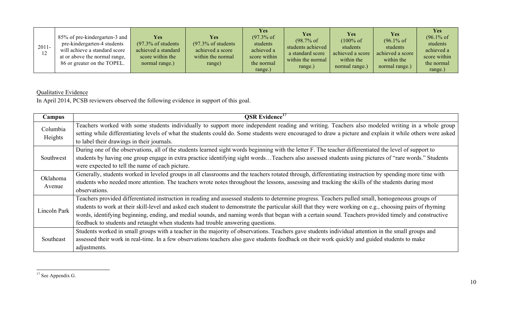| $2011 -$<br>12 | 85% of pre-kindergarten-3 and<br>pre-kindergarten-4 students<br>will achieve a standard score<br>at or above the normal range,<br>86 or greater on the TOPEL. | Yes<br>$(97.3\% \text{ of students})$<br>achieved a standard<br>score within the<br>normal range.) | Yes<br>$(97.3\% \text{ of students})$<br>achieved a score<br>within the normal<br>range) | <b>Yes</b><br>$(97.3\% \text{ of }$<br>students<br>achieved a<br>score within<br>the normal<br>range.) | Yes<br>$(98.7\% \text{ of }$<br>students achieved<br>a standard score<br>within the normal<br>range.) | <b>Yes</b><br>$(100\% \text{ of }$<br>students<br>achieved a score<br>within the<br>normal range.) | <b>Yes</b><br>$(96.1\% \text{ of }$<br>students<br>achieved a score<br>within the<br>normal range.) | <b>Yes</b><br>$(96.1\% \text{ of }$<br>students<br>achieved a<br>score within<br>the normal<br>range.) |
|----------------|---------------------------------------------------------------------------------------------------------------------------------------------------------------|----------------------------------------------------------------------------------------------------|------------------------------------------------------------------------------------------|--------------------------------------------------------------------------------------------------------|-------------------------------------------------------------------------------------------------------|----------------------------------------------------------------------------------------------------|-----------------------------------------------------------------------------------------------------|--------------------------------------------------------------------------------------------------------|
|----------------|---------------------------------------------------------------------------------------------------------------------------------------------------------------|----------------------------------------------------------------------------------------------------|------------------------------------------------------------------------------------------|--------------------------------------------------------------------------------------------------------|-------------------------------------------------------------------------------------------------------|----------------------------------------------------------------------------------------------------|-----------------------------------------------------------------------------------------------------|--------------------------------------------------------------------------------------------------------|

# Qualitative Evidence

In April 2014, PCSB reviewers observed the following evidence in support of this goal.

| Campus       | <b>OSR</b> Evidence <sup>17</sup>                                                                                                                          |
|--------------|------------------------------------------------------------------------------------------------------------------------------------------------------------|
| Columbia     | Teachers worked with some students individually to support more independent reading and writing. Teachers also modeled writing in a whole group            |
| Heights      | setting while differentiating levels of what the students could do. Some students were encouraged to draw a picture and explain it while others were asked |
|              | to label their drawings in their journals.                                                                                                                 |
|              | During one of the observations, all of the students learned sight words beginning with the letter F. The teacher differentiated the level of support to    |
| Southwest    | students by having one group engage in extra practice identifying sight wordsTeachers also assessed students using pictures of "rare words." Students      |
|              | were expected to tell the name of each picture.                                                                                                            |
| Oklahoma     | Generally, students worked in leveled groups in all classrooms and the teachers rotated through, differentiating instruction by spending more time with    |
| Avenue       | students who needed more attention. The teachers wrote notes throughout the lessons, assessing and tracking the skills of the students during most         |
|              | observations.                                                                                                                                              |
|              | Teachers provided differentiated instruction in reading and assessed students to determine progress. Teachers pulled small, homogeneous groups of          |
| Lincoln Park | students to work at their skill-level and asked each student to demonstrate the particular skill that they were working on e.g., choosing pairs of rhyming |
|              | words, identifying beginning, ending, and medial sounds, and naming words that began with a certain sound. Teachers provided timely and constructive       |
|              | feedback to students and retaught when students had trouble answering questions.                                                                           |
|              | Students worked in small groups with a teacher in the majority of observations. Teachers gave students individual attention in the small groups and        |
| Southeast    | assessed their work in real-time. In a few observations teachers also gave students feedback on their work quickly and guided students to make             |
|              | adjustments.                                                                                                                                               |

<sup>&</sup>lt;sup>17</sup> See Appendix G.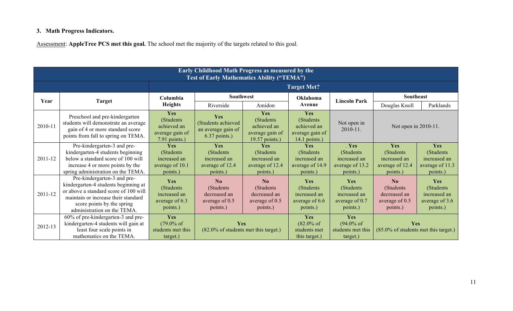# **3. Math Progress Indicators.**

Assessment: **AppleTree PCS met this goal.** The school met the majority of the targets related to this goal.

|         | <b>Early Childhood Math Progress as measured by the</b><br><b>Test of Early Mathematics Ability ("TEMA")</b>                                                                                                     |                                                                      |                                                                            |                                                                       |                                                                      |                                                                    |                                                                                    |                                                                  |  |
|---------|------------------------------------------------------------------------------------------------------------------------------------------------------------------------------------------------------------------|----------------------------------------------------------------------|----------------------------------------------------------------------------|-----------------------------------------------------------------------|----------------------------------------------------------------------|--------------------------------------------------------------------|------------------------------------------------------------------------------------|------------------------------------------------------------------|--|
|         |                                                                                                                                                                                                                  |                                                                      |                                                                            |                                                                       | <b>Target Met?</b>                                                   |                                                                    |                                                                                    |                                                                  |  |
| Year    |                                                                                                                                                                                                                  | Columbia                                                             | <b>Southwest</b>                                                           |                                                                       | Oklahoma                                                             | <b>Lincoln Park</b>                                                | Southeast                                                                          |                                                                  |  |
|         | Target                                                                                                                                                                                                           | <b>Heights</b>                                                       | Riverside                                                                  | Amidon                                                                | Avenue                                                               |                                                                    | Douglas Knoll                                                                      | Parklands                                                        |  |
| 2010-11 | Preschool and pre-kindergarten<br>students will demonstrate an average<br>gain of 4 or more standard score<br>points from fall to spring on TEMA.                                                                | Yes<br>(Students)<br>achieved an<br>average gain of<br>7.91 points.) | Yes<br>(Students achieved<br>an average gain of<br>$6.37$ points.)         | Yes<br>(Students)<br>achieved an<br>average gain of<br>19.57 points.) | Yes<br>(Students)<br>achieved an<br>average gain of<br>14.1 points.) | Not open in<br>$2010 - 11.$                                        | Not open in 2010-11.                                                               |                                                                  |  |
| 2011-12 | Pre-kindergarten-3 and pre-<br>kindergarten-4 students beginning<br>below a standard score of 100 will<br>increase 4 or more points by the<br>spring administration on the TEMA.                                 | Yes<br>(Students)<br>increased an<br>average of 10.1<br>points.)     | Yes<br>(Students)<br>increased an<br>average of 12.4<br>points.)           | Yes<br>(Students)<br>increased an<br>average of 12.4<br>points.)      | Yes<br>(Students)<br>increased an<br>average of 14.9<br>points.)     | . Yes<br>(Students)<br>increased an<br>average of 13.2<br>points.) | Yes<br>(Students)<br>increased an<br>average of 12.4<br>points.)                   | Yes<br>(Students)<br>increased an<br>average of 11.3<br>points.) |  |
| 2011-12 | Pre-kindergarten-3 and pre-<br>kindergarten-4 students beginning at<br>or above a standard score of 100 will<br>maintain or increase their standard<br>score points by the spring<br>administration on the TEMA. | Yes<br>(Students)<br>increased an<br>average of 6.3<br>points.)      | N <sub>o</sub><br>(Students)<br>decreased an<br>average of 0.5<br>points.) | No<br>(Students)<br>decreased an<br>average of 0.5<br>points.)        | Yes<br>(Students)<br>increased an<br>average of 6.6<br>points.)      | Yes<br>(Students)<br>increased an<br>average of $0.7$<br>points.)  | $\mathbf{N}\mathbf{0}$<br>(Students)<br>decreased an<br>average of 0.5<br>points.) | Yes<br>(Students)<br>increased an<br>average of 3.6<br>points.)  |  |
| 2012-13 | 60% of pre-kindergarten-3 and pre-<br>kindergarten-4 students will gain at<br>least four scale points in<br>mathematics on the TEMA.                                                                             | Yes<br>$(79.0\% \text{ of }$<br>students met this<br>target.)        |                                                                            | Yes<br>$(82.0\% \text{ of students met this target.})$                |                                                                      | Yes<br>$(94.0\% \text{ of }$<br>students met this<br>target.)      | <b>Yes</b><br>$(85.0\% \text{ of students met this target.})$                      |                                                                  |  |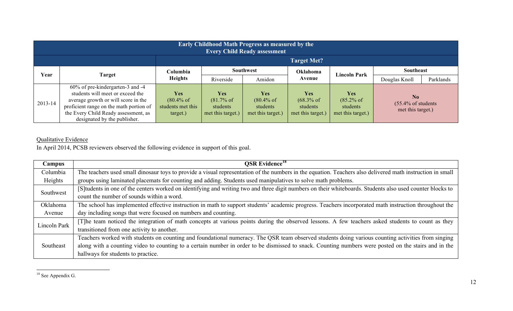|         | <b>Early Childhood Math Progress as measured by the</b><br><b>Every Child Ready assessment</b> |                       |                       |                       |                       |                       |                                                                       |           |  |
|---------|------------------------------------------------------------------------------------------------|-----------------------|-----------------------|-----------------------|-----------------------|-----------------------|-----------------------------------------------------------------------|-----------|--|
|         | <b>Target Met?</b>                                                                             |                       |                       |                       |                       |                       |                                                                       |           |  |
| Year    | Target                                                                                         | Columbia              | <b>Southwest</b>      |                       | <b>Oklahoma</b>       | <b>Lincoln Park</b>   | <b>Southeast</b>                                                      |           |  |
|         |                                                                                                | <b>Heights</b>        | Riverside             | Amidon                | Avenue                |                       | Douglas Knoll                                                         | Parklands |  |
|         | 60% of pre-kindergarten-3 and -4                                                               |                       |                       |                       |                       |                       |                                                                       |           |  |
|         | students will meet or exceed the                                                               | <b>Yes</b>            | <b>Yes</b>            | <b>Yes</b>            | <b>Yes</b>            | <b>Yes</b>            | N <sub>0</sub><br>$(55.4\% \text{ of students})$<br>met this target.) |           |  |
| 2013-14 | average growth or will score in the                                                            | $(80.4\% \text{ of }$ | $(81.7\% \text{ of }$ | $(80.4\% \text{ of }$ | $(68.3\% \text{ of }$ | $(85.2\% \text{ of }$ |                                                                       |           |  |
|         | proficient range on the math portion of                                                        | students met this     | students              | students              | students              | students              |                                                                       |           |  |
|         | the Every Child Ready assessment, as                                                           | target.)              | met this target.)     | met this target.)     | met this target.)     | met this target.)     |                                                                       |           |  |
|         | designated by the publisher.                                                                   |                       |                       |                       |                       |                       |                                                                       |           |  |

# Qualitative Evidence

In April 2014, PCSB reviewers observed the following evidence in support of this goal.

| Campus       | <b>QSR</b> Evidence <sup>18</sup>                                                                                                                          |
|--------------|------------------------------------------------------------------------------------------------------------------------------------------------------------|
| Columbia     | The teachers used small dinosaur toys to provide a visual representation of the numbers in the equation. Teachers also delivered math instruction in small |
| Heights      | groups using laminated placemats for counting and adding. Students used manipulatives to solve math problems.                                              |
| Southwest    | [S] tudents in one of the centers worked on identifying and writing two and three digit numbers on their whiteboards. Students also used counter blocks to |
|              | count the number of sounds within a word.                                                                                                                  |
| Oklahoma     | The school has implemented effective instruction in math to support students' academic progress. Teachers incorporated math instruction throughout the     |
| Avenue       | day including songs that were focused on numbers and counting.                                                                                             |
| Lincoln Park | [T]he team noticed the integration of math concepts at various points during the observed lessons. A few teachers asked students to count as they          |
|              | transitioned from one activity to another.                                                                                                                 |
| Southeast    | Teachers worked with students on counting and foundational numeracy. The QSR team observed students doing various counting activities from singing         |
|              | along with a counting video to counting to a certain number in order to be dismissed to snack. Counting numbers were posted on the stairs and in the       |
|              | hallways for students to practice.                                                                                                                         |

<sup>&</sup>lt;sup>18</sup> See Appendix G.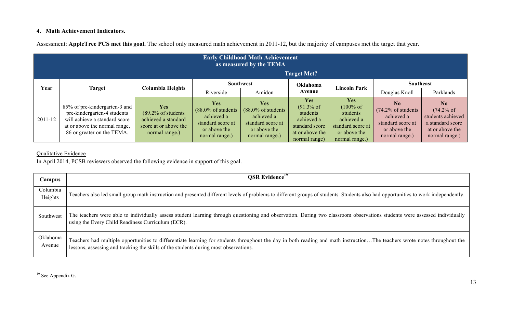#### **4. Math Achievement Indicators.**

Assessment: **AppleTree PCS met this goal.** The school only measured math achievement in 2011-12, but the majority of campuses met the target that year.

|         | <b>Early Childhood Math Achievement</b><br>as measured by the TEMA                                                                                           |                                                                                                                |                                                                                                                   |                                                                                                                   |                                                                                                                     |                                                                                                                     |                                                                                                                       |                                                                                                                     |
|---------|--------------------------------------------------------------------------------------------------------------------------------------------------------------|----------------------------------------------------------------------------------------------------------------|-------------------------------------------------------------------------------------------------------------------|-------------------------------------------------------------------------------------------------------------------|---------------------------------------------------------------------------------------------------------------------|---------------------------------------------------------------------------------------------------------------------|-----------------------------------------------------------------------------------------------------------------------|---------------------------------------------------------------------------------------------------------------------|
|         |                                                                                                                                                              |                                                                                                                |                                                                                                                   |                                                                                                                   | <b>Target Met?</b>                                                                                                  |                                                                                                                     |                                                                                                                       |                                                                                                                     |
|         |                                                                                                                                                              | Columbia Heights                                                                                               | Southwest                                                                                                         |                                                                                                                   | Oklahoma                                                                                                            | <b>Lincoln Park</b>                                                                                                 | Southeast                                                                                                             |                                                                                                                     |
| Year    | <b>Target</b>                                                                                                                                                |                                                                                                                | Riverside                                                                                                         | Amidon                                                                                                            | Avenue                                                                                                              |                                                                                                                     | Douglas Knoll                                                                                                         | Parklands                                                                                                           |
| 2011-12 | 85% of pre-kindergarten-3 and<br>pre-kindergarten-4 students<br>will achieve a standard score<br>at or above the normal range,<br>86 or greater on the TEMA. | <b>Yes</b><br>$(89.2\% \text{ of students})$<br>achieved a standard<br>score at or above the<br>normal range.) | <b>Yes</b><br>$(88.0\% \text{ of students})$<br>achieved a<br>standard score at<br>or above the<br>normal range.) | <b>Yes</b><br>$(88.0\% \text{ of students})$<br>achieved a<br>standard score at<br>or above the<br>normal range.) | <b>Yes</b><br>$(91.3\% \text{ of }$<br>students<br>achieved a<br>standard score<br>at or above the<br>normal range) | <b>Yes</b><br>$(100\% \text{ of }$<br>students<br>achieved a<br>standard score at<br>or above the<br>normal range.) | N <sub>0</sub><br>$(74.2\% \text{ of students})$<br>achieved a<br>standard score at<br>or above the<br>normal range.) | $\mathbf{N}$<br>$(74.2\% \text{ of }$<br>students achieved<br>a standard score<br>at or above the<br>normal range.) |

#### Qualitative Evidence

In April 2014, PCSB reviewers observed the following evidence in support of this goal.

| Campus              | <b>QSR</b> Evidence <sup>19</sup>                                                                                                                                                                                                                                 |
|---------------------|-------------------------------------------------------------------------------------------------------------------------------------------------------------------------------------------------------------------------------------------------------------------|
| Columbia<br>Heights | Teachers also led small group math instruction and presented different levels of problems to different groups of students. Students also had opportunities to work independently.                                                                                 |
| Southwest           | The teachers were able to individually assess student learning through questioning and observation. During two classroom observations students were assessed individually<br>using the Every Child Readiness Curriculum (ECR).                                    |
| Oklahoma<br>Avenue  | Teachers had multiple opportunities to differentiate learning for students throughout the day in both reading and math instructionThe teachers wrote notes throughout the<br>lessons, assessing and tracking the skills of the students during most observations. |

<sup>&</sup>lt;sup>19</sup> See Appendix G.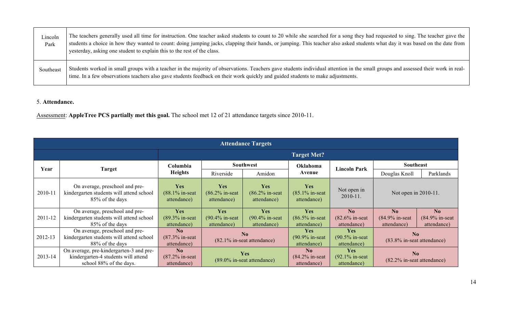| Lincoln<br>Park | The teachers generally used all time for instruction. One teacher asked students to count to 20 while she searched for a song they had requested to sing. The teacher gave the<br>students a choice in how they wanted to count: doing jumping jacks, clapping their hands, or jumping. This teacher also asked students what day it was based on the date from<br>yesterday, asking one student to explain this to the rest of the class. |
|-----------------|--------------------------------------------------------------------------------------------------------------------------------------------------------------------------------------------------------------------------------------------------------------------------------------------------------------------------------------------------------------------------------------------------------------------------------------------|
| Southeast       | Students worked in small groups with a teacher in the majority of observations. Teachers gave students individual attention in the small groups and assessed their work in real-<br>time. In a few observations teachers also gave students feedback on their work quickly and guided students to make adjustments.                                                                                                                        |

#### 5. **Attendance.**

Assessment: **AppleTree PCS partially met this goal.** The school met 12 of 21 attendance targets since 2010-11.

|         | <b>Attendance Targets</b>                                                                                 |                                                            |                                                |                                                |                                                            |                                                |                                                    |                                                    |
|---------|-----------------------------------------------------------------------------------------------------------|------------------------------------------------------------|------------------------------------------------|------------------------------------------------|------------------------------------------------------------|------------------------------------------------|----------------------------------------------------|----------------------------------------------------|
|         |                                                                                                           |                                                            |                                                |                                                | <b>Target Met?</b>                                         |                                                |                                                    |                                                    |
|         |                                                                                                           | Columbia                                                   | <b>Southwest</b>                               |                                                | <b>Oklahoma</b>                                            |                                                | <b>Southeast</b>                                   |                                                    |
| Year    | Target                                                                                                    | <b>Heights</b>                                             | Riverside                                      | Amidon                                         | Avenue                                                     | <b>Lincoln Park</b>                            | Douglas Knoll                                      | Parklands                                          |
| 2010-11 | On average, preschool and pre-<br>kindergarten students will attend school<br>85% of the days             | <b>Yes</b><br>(88.1% in-seat)<br>attendance)               | <b>Yes</b><br>$(86.2\%$ in-seat<br>attendance) | <b>Yes</b><br>$(86.2\%$ in-seat<br>attendance) | <b>Yes</b><br>$(85.1\%$ in-seat<br>attendance)             | Not open in<br>$2010 - 11.$                    | Not open in 2010-11.                               |                                                    |
| 2011-12 | On average, preschool and pre-<br>kindergarten students will attend school<br>85% of the days             | Yes<br>(89.3% in-seat)<br>attendance)                      | <b>Yes</b><br>$(90.4\%$ in-seat<br>attendance) | Yes<br>$(90.4\%$ in-seat<br>attendance)        | <b>Yes</b><br>$(86.5\%$ in-seat<br>attendance)             | No<br>$(82.6\%$ in-seat<br>attendance)         | N <sub>0</sub><br>$(84.9\%$ in-seat<br>attendance) | N <sub>0</sub><br>$(84.9\%$ in-seat<br>attendance) |
| 2012-13 | On average, preschool and pre-<br>kindergarten students will attend school<br>88% of the days             | N <sub>0</sub><br>$(87.3\%$ in-seat<br>attendance)         | No<br>(82.1% in-seat attendance)               |                                                | <b>Yes</b><br>$(90.9\%$ in-seat<br>attendance)             | <b>Yes</b><br>$(90.5\%$ in-seat<br>attendance) | N <sub>0</sub><br>(83.8% in-seat attendance)       |                                                    |
| 2013-14 | On average, pre-kindergarten-3 and pre-<br>kindergarten-4 students will attend<br>school 88% of the days. | $\mathbf{N}\mathbf{0}$<br>$(87.2\%$ in-seat<br>attendance) |                                                | Yes<br>(89.0% in-seat attendance)              | $\mathbf{N}\mathbf{0}$<br>$(84.2\%$ in-seat<br>attendance) | <b>Yes</b><br>$(92.1\%$ in-seat<br>attendance) | N <sub>0</sub><br>(82.2% in-seat attendance)       |                                                    |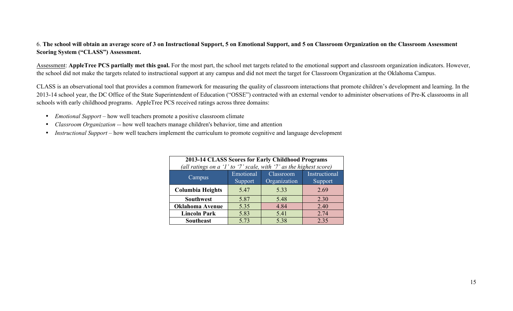#### 6. **The school will obtain an average score of 3 on Instructional Support, 5 on Emotional Support, and 5 on Classroom Organization on the Classroom Assessment Scoring System ("CLASS") Assessment.**

Assessment: **AppleTree PCS partially met this goal.** For the most part, the school met targets related to the emotional support and classroom organization indicators. However, the school did not make the targets related to instructional support at any campus and did not meet the target for Classroom Organization at the Oklahoma Campus.

CLASS is an observational tool that provides a common framework for measuring the quality of classroom interactions that promote children's development and learning. In the 2013-14 school year, the DC Office of the State Superintendent of Education ("OSSE") contracted with an external vendor to administer observations of Pre-K classrooms in all schools with early childhood programs. AppleTree PCS received ratings across three domains:

- *Emotional Support* how well teachers promote a positive classroom climate
- *Classroom Organization --* how well teachers manage children's behavior, time and attention
- *Instructional Support –* how well teachers implement the curriculum to promote cognitive and language development

|                                                                    | 2013-14 CLASS Scores for Early Childhood Programs |                  |               |  |  |  |
|--------------------------------------------------------------------|---------------------------------------------------|------------------|---------------|--|--|--|
| (all ratings on a '1' to '7' scale, with '7' as the highest score) |                                                   |                  |               |  |  |  |
| Campus                                                             | Emotional                                         | <b>Classroom</b> | Instructional |  |  |  |
|                                                                    | Support                                           | Organization     | Support       |  |  |  |
| <b>Columbia Heights</b>                                            | 5.47                                              | 5.33             | 2.69          |  |  |  |
| <b>Southwest</b>                                                   | 5.87                                              | 5.48             | 2.30          |  |  |  |
| <b>Oklahoma Avenue</b>                                             | 5.35                                              | 4.84             | 2.40          |  |  |  |
| <b>Lincoln Park</b>                                                | 5.83                                              | 5.41             | 2.74          |  |  |  |
| <b>Southeast</b>                                                   | 5.73                                              | 5.38             | 2.35          |  |  |  |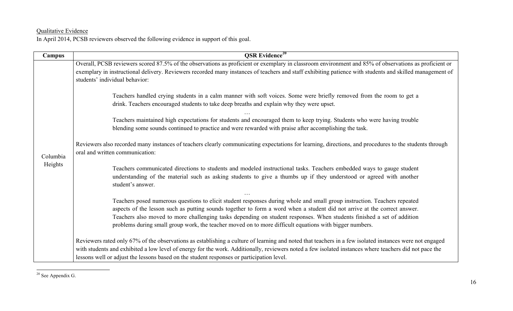#### Qualitative Evidence

In April 2014, PCSB reviewers observed the following evidence in support of this goal.

| Campus              | <b>QSR</b> Evidence <sup>20</sup>                                                                                                                                                                                                                                                                                                                                                                                                                                                           |  |  |  |  |
|---------------------|---------------------------------------------------------------------------------------------------------------------------------------------------------------------------------------------------------------------------------------------------------------------------------------------------------------------------------------------------------------------------------------------------------------------------------------------------------------------------------------------|--|--|--|--|
|                     | Overall, PCSB reviewers scored 87.5% of the observations as proficient or exemplary in classroom environment and 85% of observations as proficient or<br>exemplary in instructional delivery. Reviewers recorded many instances of teachers and staff exhibiting patience with students and skilled management of<br>students' individual behavior:                                                                                                                                         |  |  |  |  |
|                     | Teachers handled crying students in a calm manner with soft voices. Some were briefly removed from the room to get a<br>drink. Teachers encouraged students to take deep breaths and explain why they were upset.                                                                                                                                                                                                                                                                           |  |  |  |  |
|                     | Teachers maintained high expectations for students and encouraged them to keep trying. Students who were having trouble<br>blending some sounds continued to practice and were rewarded with praise after accomplishing the task.                                                                                                                                                                                                                                                           |  |  |  |  |
| Columbia<br>Heights | Reviewers also recorded many instances of teachers clearly communicating expectations for learning, directions, and procedures to the students through<br>oral and written communication:                                                                                                                                                                                                                                                                                                   |  |  |  |  |
|                     | Teachers communicated directions to students and modeled instructional tasks. Teachers embedded ways to gauge student<br>understanding of the material such as asking students to give a thumbs up if they understood or agreed with another<br>student's answer.                                                                                                                                                                                                                           |  |  |  |  |
|                     | Teachers posed numerous questions to elicit student responses during whole and small group instruction. Teachers repeated<br>aspects of the lesson such as putting sounds together to form a word when a student did not arrive at the correct answer.<br>Teachers also moved to more challenging tasks depending on student responses. When students finished a set of addition<br>problems during small group work, the teacher moved on to more difficult equations with bigger numbers. |  |  |  |  |
|                     | Reviewers rated only 67% of the observations as establishing a culture of learning and noted that teachers in a few isolated instances were not engaged<br>with students and exhibited a low level of energy for the work. Additionally, reviewers noted a few isolated instances where teachers did not pace the<br>lessons well or adjust the lessons based on the student responses or participation level.                                                                              |  |  |  |  |

<sup>&</sup>lt;sup>20</sup> See Appendix G.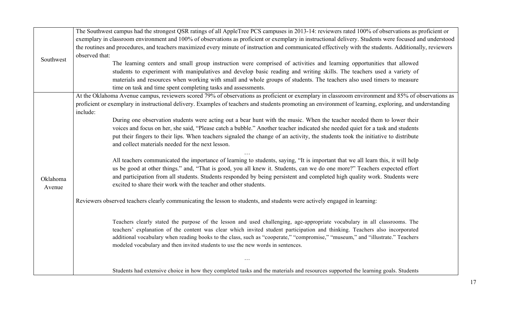|           | The Southwest campus had the strongest QSR ratings of all AppleTree PCS campuses in 2013-14: reviewers rated 100% of observations as proficient or      |
|-----------|---------------------------------------------------------------------------------------------------------------------------------------------------------|
|           | exemplary in classroom environment and 100% of observations as proficient or exemplary in instructional delivery. Students were focused and understood  |
|           | the routines and procedures, and teachers maximized every minute of instruction and communicated effectively with the students. Additionally, reviewers |
|           | observed that:                                                                                                                                          |
| Southwest | The learning centers and small group instruction were comprised of activities and learning opportunities that allowed                                   |
|           | students to experiment with manipulatives and develop basic reading and writing skills. The teachers used a variety of                                  |
|           | materials and resources when working with small and whole groups of students. The teachers also used timers to measure                                  |
|           | time on task and time spent completing tasks and assessments.                                                                                           |
|           | At the Oklahoma Avenue campus, reviewers scored 79% of observations as proficient or exemplary in classroom environment and 85% of observations as      |
|           | proficient or exemplary in instructional delivery. Examples of teachers and students promoting an environment of learning, exploring, and understanding |
|           | include:                                                                                                                                                |
|           | During one observation students were acting out a bear hunt with the music. When the teacher needed them to lower their                                 |
|           | voices and focus on her, she said, "Please catch a bubble." Another teacher indicated she needed quiet for a task and students                          |
|           | put their fingers to their lips. When teachers signaled the change of an activity, the students took the initiative to distribute                       |
|           | and collect materials needed for the next lesson.                                                                                                       |
|           |                                                                                                                                                         |
|           | All teachers communicated the importance of learning to students, saying, "It is important that we all learn this, it will help                         |
|           | us be good at other things." and, "That is good, you all knew it. Students, can we do one more?" Teachers expected effort                               |
| Oklahoma  | and participation from all students. Students responded by being persistent and completed high quality work. Students were                              |
| Avenue    | excited to share their work with the teacher and other students.                                                                                        |
|           |                                                                                                                                                         |
|           | Reviewers observed teachers clearly communicating the lesson to students, and students were actively engaged in learning:                               |
|           |                                                                                                                                                         |
|           | Teachers clearly stated the purpose of the lesson and used challenging, age-appropriate vocabulary in all classrooms. The                               |
|           | teachers' explanation of the content was clear which invited student participation and thinking. Teachers also incorporated                             |
|           | additional vocabulary when reading books to the class, such as "cooperate," "compromise," "museum," and "illustrate." Teachers                          |
|           | modeled vocabulary and then invited students to use the new words in sentences.                                                                         |
|           | .                                                                                                                                                       |
|           | Students had extensive choice in how they completed tasks and the materials and resources supported the learning goals. Students                        |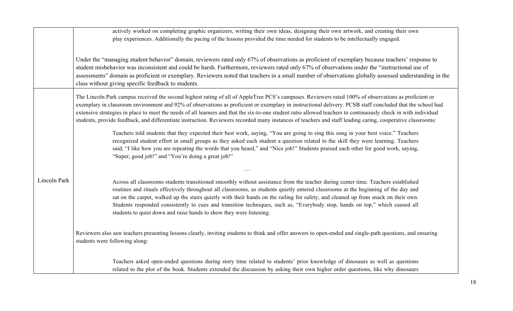|                     | actively worked on completing graphic organizers, writing their own ideas, designing their own artwork, and creating their own<br>play experiences. Additionally the pacing of the lessons provided the time needed for students to be intellectually engaged.                                                                                                                                                                                                                                                                                                                                                                                     |
|---------------------|----------------------------------------------------------------------------------------------------------------------------------------------------------------------------------------------------------------------------------------------------------------------------------------------------------------------------------------------------------------------------------------------------------------------------------------------------------------------------------------------------------------------------------------------------------------------------------------------------------------------------------------------------|
|                     | Under the "managing student behavior" domain, reviewers rated only 67% of observations as proficient of exemplary because teachers' response to<br>student misbehavior was inconsistent and could be harsh. Furthermore, reviewers rated only 67% of observations under the "instructional use of<br>assessments" domain as proficient or exemplary. Reviewers noted that teachers in a small number of observations globally assessed understanding in the<br>class without giving specific feedback to students.                                                                                                                                 |
|                     | The Lincoln Park campus received the second highest rating of all of AppleTree PCS's campuses. Reviewers rated 100% of observations as proficient or<br>exemplary in classroom environment and 92% of observations as proficient or exemplary in instructional delivery. PCSB staff concluded that the school had<br>extensive strategies in place to meet the needs of all learners and that the six-to-one student ratio allowed teachers to continuously check in with individual<br>students, provide feedback, and differentiate instruction. Reviewers recorded many instances of teachers and staff leading caring, cooperative classrooms: |
|                     | Teachers told students that they expected their best work, saying, "You are going to sing this song in your best voice." Teachers<br>recognized student effort in small groups as they asked each student a question related to the skill they were learning. Teachers<br>said, "I like how you are repeating the words that you heard," and "Nice job!" Students praised each other for good work, saying,<br>"Super, good job!" and "You're doing a great job!"                                                                                                                                                                                  |
|                     |                                                                                                                                                                                                                                                                                                                                                                                                                                                                                                                                                                                                                                                    |
| <b>Lincoln Park</b> | Across all classrooms students transitioned smoothly without assistance from the teacher during center time. Teachers established<br>routines and rituals effectively throughout all classrooms, as students quietly entered classrooms at the beginning of the day and<br>sat on the carpet, walked up the stairs quietly with their hands on the railing for safety, and cleaned up from snack on their own.<br>Students responded consistently to cues and transition techniques, such as, "Everybody stop, hands on top," which caused all<br>students to quiet down and raise hands to show they were listening.                              |
|                     | Reviewers also saw teachers presenting lessons clearly, inviting students to think and offer answers to open-ended and single-path questions, and ensuring<br>students were following along:                                                                                                                                                                                                                                                                                                                                                                                                                                                       |
|                     | Teachers asked open-ended questions during story time related to students' prior knowledge of dinosaurs as well as questions<br>related to the plot of the book. Students extended the discussion by asking their own higher order questions, like why dinosaurs                                                                                                                                                                                                                                                                                                                                                                                   |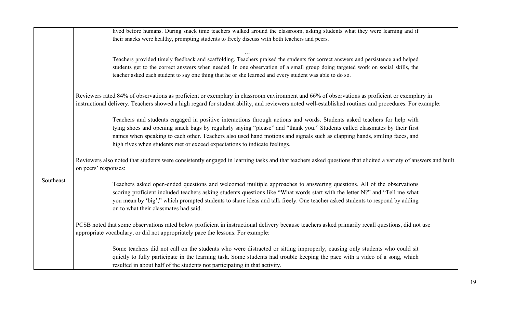|           | lived before humans. During snack time teachers walked around the classroom, asking students what they were learning and if<br>their snacks were healthy, prompting students to freely discuss with both teachers and peers.                                                                                                                                                                                                                                    |
|-----------|-----------------------------------------------------------------------------------------------------------------------------------------------------------------------------------------------------------------------------------------------------------------------------------------------------------------------------------------------------------------------------------------------------------------------------------------------------------------|
|           | Teachers provided timely feedback and scaffolding. Teachers praised the students for correct answers and persistence and helped<br>students get to the correct answers when needed. In one observation of a small group doing targeted work on social skills, the<br>teacher asked each student to say one thing that he or she learned and every student was able to do so.                                                                                    |
|           | Reviewers rated 84% of observations as proficient or exemplary in classroom environment and 66% of observations as proficient or exemplary in<br>instructional delivery. Teachers showed a high regard for student ability, and reviewers noted well-established routines and procedures. For example:                                                                                                                                                          |
|           | Teachers and students engaged in positive interactions through actions and words. Students asked teachers for help with<br>tying shoes and opening snack bags by regularly saying "please" and "thank you." Students called classmates by their first<br>names when speaking to each other. Teachers also used hand motions and signals such as clapping hands, smiling faces, and<br>high fives when students met or exceed expectations to indicate feelings. |
|           | Reviewers also noted that students were consistently engaged in learning tasks and that teachers asked questions that elicited a variety of answers and built<br>on peers' responses:                                                                                                                                                                                                                                                                           |
| Southeast | Teachers asked open-ended questions and welcomed multiple approaches to answering questions. All of the observations<br>scoring proficient included teachers asking students questions like "What words start with the letter N?" and "Tell me what<br>you mean by 'big'," which prompted students to share ideas and talk freely. One teacher asked students to respond by adding<br>on to what their classmates had said.                                     |
|           | PCSB noted that some observations rated below proficient in instructional delivery because teachers asked primarily recall questions, did not use<br>appropriate vocabulary, or did not appropriately pace the lessons. For example:                                                                                                                                                                                                                            |
|           | Some teachers did not call on the students who were distracted or sitting improperly, causing only students who could sit<br>quietly to fully participate in the learning task. Some students had trouble keeping the pace with a video of a song, which<br>resulted in about half of the students not participating in that activity.                                                                                                                          |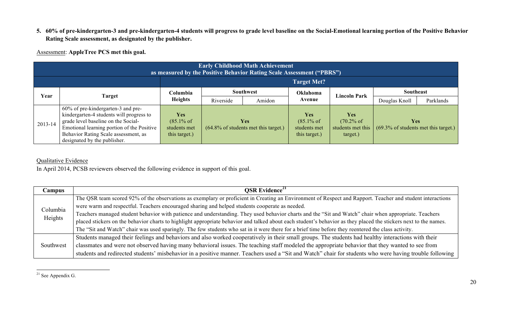**5. 60% of pre-kindergarten-3 and pre-kindergarten-4 students will progress to grade level baseline on the Social-Emotional learning portion of the Positive Behavior Rating Scale assessment, as designated by the publisher.**

Assessment: **AppleTree PCS met this goal.**

|         | <b>Early Childhood Math Achievement</b><br>as measured by the Positive Behavior Rating Scale Assessment ("PBRS")                                                                                                                            |                                                                      |           |                                                               |                                                                      |                                                                      |                                                               |           |
|---------|---------------------------------------------------------------------------------------------------------------------------------------------------------------------------------------------------------------------------------------------|----------------------------------------------------------------------|-----------|---------------------------------------------------------------|----------------------------------------------------------------------|----------------------------------------------------------------------|---------------------------------------------------------------|-----------|
|         | <b>Target Met?</b>                                                                                                                                                                                                                          |                                                                      |           |                                                               |                                                                      |                                                                      |                                                               |           |
| Year    | Target                                                                                                                                                                                                                                      | Columbia                                                             |           | <b>Southwest</b>                                              | Oklahoma                                                             | Lincoln Park                                                         | <b>Southeast</b>                                              |           |
|         |                                                                                                                                                                                                                                             | <b>Heights</b>                                                       | Riverside | Amidon                                                        | Avenue                                                               |                                                                      | Douglas Knoll                                                 | Parklands |
| 2013-14 | 60% of pre-kindergarten-3 and pre-<br>kindergarten-4 students will progress to<br>grade level baseline on the Social-<br>Emotional learning portion of the Positive<br>Behavior Rating Scale assessment, as<br>designated by the publisher. | <b>Yes</b><br>$(85.1\% \text{ of }$<br>students met<br>this target.) |           | <b>Yes</b><br>$(64.8\% \text{ of students met this target.})$ | <b>Yes</b><br>$(85.1\% \text{ of }$<br>students met<br>this target.) | <b>Yes</b><br>$(70.2\% \text{ of }$<br>students met this<br>target.) | <b>Yes</b><br>$(69.3\% \text{ of students met this target.})$ |           |

## Qualitative Evidence

In April 2014, PCSB reviewers observed the following evidence in support of this goal.

| Campus              | <b>OSR</b> Evidence <sup>21</sup>                                                                                                                                |
|---------------------|------------------------------------------------------------------------------------------------------------------------------------------------------------------|
| Columbia<br>Heights | The QSR team scored 92% of the observations as exemplary or proficient in Creating an Environment of Respect and Rapport. Teacher and student interactions       |
|                     | were warm and respectful. Teachers encouraged sharing and helped students cooperate as needed.                                                                   |
|                     | Teachers managed student behavior with patience and understanding. They used behavior charts and the "Sit and Watch" chair when appropriate. Teachers            |
|                     | placed stickers on the behavior charts to highlight appropriate behavior and talked about each student's behavior as they placed the stickers next to the names. |
|                     | The "Sit and Watch" chair was used sparingly. The few students who sat in it were there for a brief time before they reentered the class activity.               |
| Southwest           | Students managed their feelings and behaviors and also worked cooperatively in their small groups. The students had healthy interactions with their              |
|                     | classmates and were not observed having many behavioral issues. The teaching staff modeled the appropriate behavior that they wanted to see from                 |
|                     | students and redirected students' misbehavior in a positive manner. Teachers used a "Sit and Watch" chair for students who were having trouble following         |

<sup>&</sup>lt;sup>21</sup> See Appendix G.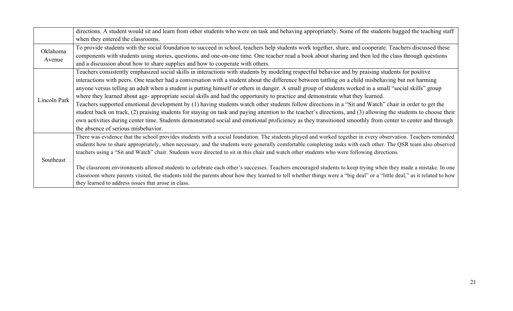|              | directions. A student would sit and learn from other students who were on task and behaving appropriately. Some of the students hugged the teaching staff               |
|--------------|-------------------------------------------------------------------------------------------------------------------------------------------------------------------------|
|              | when they entered the classrooms.                                                                                                                                       |
| Oklahoma     | To provide students with the social foundation to succeed in school, teachers help students work together, share, and cooperate. Teachers discussed these               |
| Avenue       | components with students using stories, questions, and one-on-one time. One teacher read a book about sharing and then led the class through questions                  |
|              | and a discussion about how to share supplies and how to cooperate with others.                                                                                          |
|              | Teachers consistently emphasized social skills in interactions with students by modeling respectful behavior and by praising students for positive                      |
|              | interactions with peers. One teacher had a conversation with a student about the difference between tattling on a child misbehaving but not harming                     |
|              | anyone versus telling an adult when a student is putting himself or others in danger. A small group of students worked in a small "social skills" group                 |
| Lincoln Park | where they learned about age- appropriate social skills and had the opportunity to practice and demonstrate what they learned.                                          |
|              | Teachers supported emotional development by (1) having students watch other students follow directions in a "Sit and Watch" chair in order to get the                   |
|              | student back on track, (2) praising students for staying on task and paying attention to the teacher's directions, and (3) allowing the students to choose their        |
|              | own activities during center time. Students demonstrated social and emotional proficiency as they transitioned smoothly from center to center and through               |
|              | the absence of serious misbehavior.                                                                                                                                     |
|              | There was evidence that the school provides students with a social foundation. The students played and worked together in every observation. Teachers reminded          |
|              | students how to share appropriately, when necessary, and the students were generally comfortable completing tasks with each other. The QSR team also observed           |
|              | teachers using a "Sit and Watch" chair. Students were directed to sit in this chair and watch other students who were following directions.                             |
| Southeast    |                                                                                                                                                                         |
|              | The classroom environments allowed students to celebrate each other's successes. Teachers encouraged students to keep trying when they made a mistake. In one           |
|              | classroom where parents visited, the students told the parents about how they learned to tell whether things were a "big deal" or a "little deal," as it related to how |
|              | they learned to address issues that arose in class.                                                                                                                     |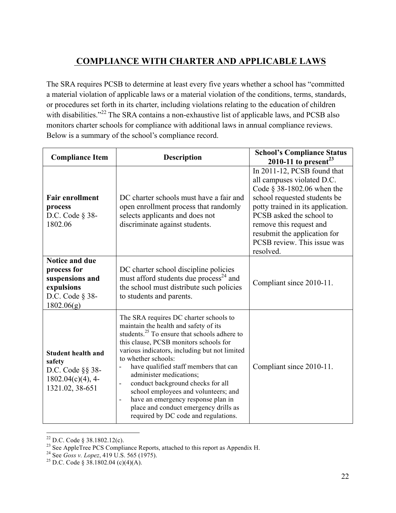# **COMPLIANCE WITH CHARTER AND APPLICABLE LAWS**

The SRA requires PCSB to determine at least every five years whether a school has "committed a material violation of applicable laws or a material violation of the conditions, terms, standards, or procedures set forth in its charter, including violations relating to the education of children with disabilities."<sup>22</sup> The SRA contains a non-exhaustive list of applicable laws, and PCSB also monitors charter schools for compliance with additional laws in annual compliance reviews. Below is a summary of the school's compliance record.

| <b>Compliance Item</b><br><b>Description</b>                                                           |                                                                                                                                                                                                                                                                                                                                                                                                                                                                                                                                                                                     | <b>School's Compliance Status</b><br>2010-11 to present <sup>23</sup>                                                                                                                                                                                                                              |  |  |  |
|--------------------------------------------------------------------------------------------------------|-------------------------------------------------------------------------------------------------------------------------------------------------------------------------------------------------------------------------------------------------------------------------------------------------------------------------------------------------------------------------------------------------------------------------------------------------------------------------------------------------------------------------------------------------------------------------------------|----------------------------------------------------------------------------------------------------------------------------------------------------------------------------------------------------------------------------------------------------------------------------------------------------|--|--|--|
| <b>Fair enrollment</b><br>process<br>D.C. Code $\S$ 38-<br>1802.06                                     | DC charter schools must have a fair and<br>open enrollment process that randomly<br>selects applicants and does not<br>discriminate against students.                                                                                                                                                                                                                                                                                                                                                                                                                               | In 2011-12, PCSB found that<br>all campuses violated D.C.<br>Code $\S$ 38-1802.06 when the<br>school requested students be<br>potty trained in its application.<br>PCSB asked the school to<br>remove this request and<br>resubmit the application for<br>PCSB review. This issue was<br>resolved. |  |  |  |
| <b>Notice and due</b><br>process for<br>suspensions and<br>expulsions<br>D.C. Code § 38-<br>1802.06(g) | DC charter school discipline policies<br>must afford students due process <sup>24</sup> and<br>the school must distribute such policies<br>to students and parents.                                                                                                                                                                                                                                                                                                                                                                                                                 | Compliant since 2010-11.                                                                                                                                                                                                                                                                           |  |  |  |
| <b>Student health and</b><br>safety<br>D.C. Code §§ 38-<br>$1802.04(c)(4)$ , 4-<br>1321.02, 38-651     | The SRA requires DC charter schools to<br>maintain the health and safety of its<br>students. <sup>25</sup> To ensure that schools adhere to<br>this clause, PCSB monitors schools for<br>various indicators, including but not limited<br>to whether schools:<br>have qualified staff members that can<br>administer medications;<br>conduct background checks for all<br>$\blacksquare$<br>school employees and volunteers; and<br>have an emergency response plan in<br>$\overline{\phantom{a}}$<br>place and conduct emergency drills as<br>required by DC code and regulations. | Compliant since 2010-11.                                                                                                                                                                                                                                                                           |  |  |  |

<sup>&</sup>lt;sup>22</sup> D.C. Code § 38.1802.12(c).<br><sup>23</sup> See AppleTree PCS Compliance Reports, attached to this report as Appendix H.<br><sup>24</sup> See *Goss v. Lopez*, 419 U.S. 565 (1975).<br><sup>25</sup> D.C. Code § 38.1802.04 (c)(4)(A).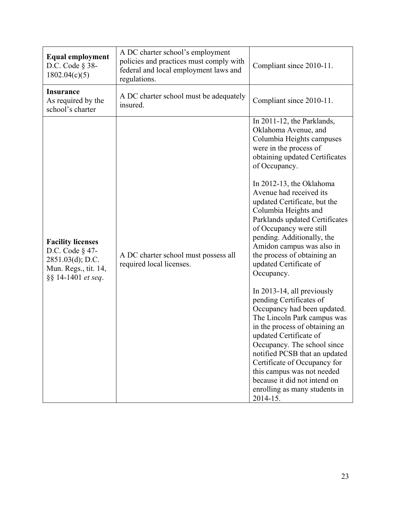| <b>Equal employment</b><br>D.C. Code $\S$ 38-<br>1802.04(c)(5)                                                   | A DC charter school's employment<br>policies and practices must comply with<br>federal and local employment laws and<br>regulations. | Compliant since 2010-11.                                                                                                                                                                                                                                                                                                                                                                                                                                                                                                                                                                                                                                                                                                                                                                                                                                                 |  |  |
|------------------------------------------------------------------------------------------------------------------|--------------------------------------------------------------------------------------------------------------------------------------|--------------------------------------------------------------------------------------------------------------------------------------------------------------------------------------------------------------------------------------------------------------------------------------------------------------------------------------------------------------------------------------------------------------------------------------------------------------------------------------------------------------------------------------------------------------------------------------------------------------------------------------------------------------------------------------------------------------------------------------------------------------------------------------------------------------------------------------------------------------------------|--|--|
| <b>Insurance</b><br>As required by the<br>school's charter                                                       | A DC charter school must be adequately<br>insured.                                                                                   | Compliant since 2010-11.                                                                                                                                                                                                                                                                                                                                                                                                                                                                                                                                                                                                                                                                                                                                                                                                                                                 |  |  |
| <b>Facility licenses</b><br>D.C. Code § 47-<br>$2851.03(d)$ ; D.C.<br>Mun. Regs., tit. 14,<br>§§ 14-1401 et seq. | A DC charter school must possess all<br>required local licenses.                                                                     | In 2011-12, the Parklands,<br>Oklahoma Avenue, and<br>Columbia Heights campuses<br>were in the process of<br>obtaining updated Certificates<br>of Occupancy.<br>In 2012-13, the Oklahoma<br>Avenue had received its<br>updated Certificate, but the<br>Columbia Heights and<br>Parklands updated Certificates<br>of Occupancy were still<br>pending. Additionally, the<br>Amidon campus was also in<br>the process of obtaining an<br>updated Certificate of<br>Occupancy.<br>In 2013-14, all previously<br>pending Certificates of<br>Occupancy had been updated.<br>The Lincoln Park campus was<br>in the process of obtaining an<br>updated Certificate of<br>Occupancy. The school since<br>notified PCSB that an updated<br>Certificate of Occupancy for<br>this campus was not needed<br>because it did not intend on<br>enrolling as many students in<br>2014-15. |  |  |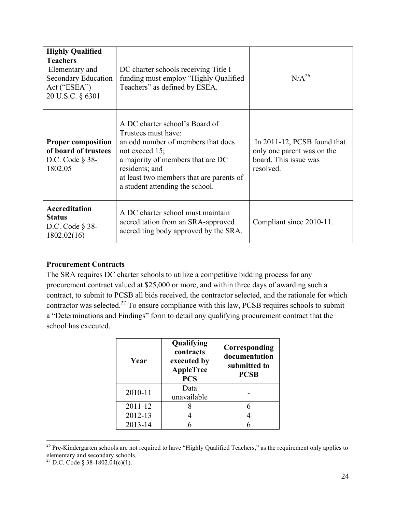| <b>Highly Qualified</b><br><b>Teachers</b><br>Elementary and<br><b>Secondary Education</b><br>Act ("ESEA")<br>20 U.S.C. § 6301 | DC charter schools receiving Title I<br>funding must employ "Highly Qualified"<br>Teachers" as defined by ESEA.                                                                                                                                        | $N/A^{26}$                                                                                      |
|--------------------------------------------------------------------------------------------------------------------------------|--------------------------------------------------------------------------------------------------------------------------------------------------------------------------------------------------------------------------------------------------------|-------------------------------------------------------------------------------------------------|
| <b>Proper composition</b><br>of board of trustees<br>D.C. Code $\S$ 38-<br>1802.05                                             | A DC charter school's Board of<br>Trustees must have:<br>an odd number of members that does<br>not exceed $15$ ;<br>a majority of members that are DC<br>residents; and<br>at least two members that are parents of<br>a student attending the school. | In 2011-12, PCSB found that<br>only one parent was on the<br>board. This issue was<br>resolved. |
| <b>Accreditation</b><br><b>Status</b><br>D.C. Code $\S$ 38-<br>1802.02(16)                                                     | A DC charter school must maintain<br>accreditation from an SRA-approved<br>accrediting body approved by the SRA.                                                                                                                                       | Compliant since 2010-11.                                                                        |

#### **Procurement Contracts**

The SRA requires DC charter schools to utilize a competitive bidding process for any procurement contract valued at \$25,000 or more, and within three days of awarding such a contract, to submit to PCSB all bids received, the contractor selected, and the rationale for which contractor was selected.<sup>27</sup> To ensure compliance with this law, PCSB requires schools to submit a "Determinations and Findings" form to detail any qualifying procurement contract that the school has executed.

| Year    | Qualifying<br>contracts<br>executed by<br><b>AppleTree</b><br><b>PCS</b> | Corresponding<br>documentation<br>submitted to<br><b>PCSB</b> |
|---------|--------------------------------------------------------------------------|---------------------------------------------------------------|
| 2010-11 | Data<br>unavailable                                                      |                                                               |
| 2011-12 |                                                                          |                                                               |
| 2012-13 |                                                                          |                                                               |
| 2013-14 |                                                                          |                                                               |

<sup>&</sup>lt;sup>26</sup> Pre-Kindergarten schools are not required to have "Highly Qualified Teachers," as the requirement only applies to elementary and secondary schools.

<sup>&</sup>lt;sup>27</sup> D.C. Code § 38-1802.04(c)(1).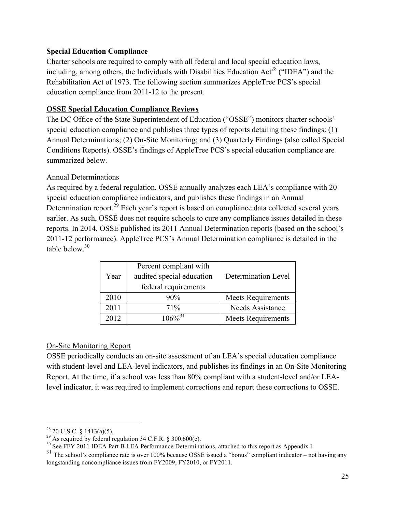#### **Special Education Compliance**

Charter schools are required to comply with all federal and local special education laws, including, among others, the Individuals with Disabilities Education Act<sup>28</sup> ("IDEA") and the Rehabilitation Act of 1973. The following section summarizes AppleTree PCS's special education compliance from 2011-12 to the present.

#### **OSSE Special Education Compliance Reviews**

The DC Office of the State Superintendent of Education ("OSSE") monitors charter schools' special education compliance and publishes three types of reports detailing these findings: (1) Annual Determinations; (2) On-Site Monitoring; and (3) Quarterly Findings (also called Special Conditions Reports). OSSE's findings of AppleTree PCS's special education compliance are summarized below.

#### Annual Determinations

As required by a federal regulation, OSSE annually analyzes each LEA's compliance with 20 special education compliance indicators, and publishes these findings in an Annual Determination report.<sup>29</sup> Each year's report is based on compliance data collected several years earlier. As such, OSSE does not require schools to cure any compliance issues detailed in these reports. In 2014, OSSE published its 2011 Annual Determination reports (based on the school's 2011-12 performance). AppleTree PCS's Annual Determination compliance is detailed in the table below. $30$ 

|      | Percent compliant with    |                           |
|------|---------------------------|---------------------------|
| Year | audited special education | Determination Level       |
|      | federal requirements      |                           |
| 2010 | 90%                       | <b>Meets Requirements</b> |
| 2011 | 71%                       | Needs Assistance          |
| 2012 | 106%                      | <b>Meets Requirements</b> |

#### On-Site Monitoring Report

OSSE periodically conducts an on-site assessment of an LEA's special education compliance with student-level and LEA-level indicators, and publishes its findings in an On-Site Monitoring Report. At the time, if a school was less than 80% compliant with a student-level and/or LEAlevel indicator, it was required to implement corrections and report these corrections to OSSE.

<sup>&</sup>lt;sup>28</sup> 20 U.S.C. § 1413(a)(5).<br><sup>29</sup> As required by federal regulation 34 C.F.R. § 300.600(c).<br><sup>30</sup> See FFY 2011 IDEA Part B LEA Performance Determinations, attached to this report as Appendix I.

 $31$  The school's compliance rate is over 100% because OSSE issued a "bonus" compliant indicator – not having any longstanding noncompliance issues from FY2009, FY2010, or FY2011.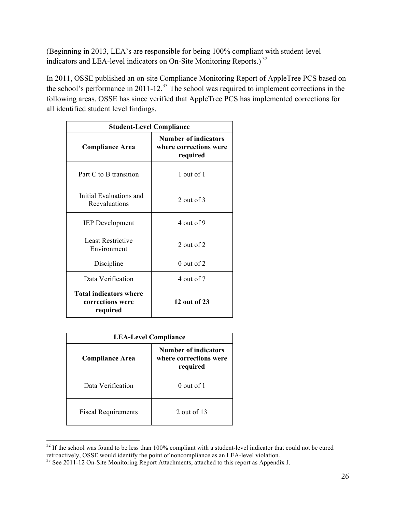(Beginning in 2013, LEA's are responsible for being 100% compliant with student-level indicators and LEA-level indicators on On-Site Monitoring Reports.) <sup>32</sup>

In 2011, OSSE published an on-site Compliance Monitoring Report of AppleTree PCS based on the school's performance in 2011-12.<sup>33</sup> The school was required to implement corrections in the following areas. OSSE has since verified that AppleTree PCS has implemented corrections for all identified student level findings.

| <b>Student-Level Compliance</b>                               |                                                                   |  |  |  |  |
|---------------------------------------------------------------|-------------------------------------------------------------------|--|--|--|--|
| <b>Compliance Area</b>                                        | <b>Number of indicators</b><br>where corrections were<br>required |  |  |  |  |
| Part C to B transition                                        | 1 out of 1                                                        |  |  |  |  |
| Initial Evaluations and<br>Reevaluations                      | 2 out of $3$                                                      |  |  |  |  |
| <b>IEP</b> Development                                        | 4 out of 9                                                        |  |  |  |  |
| Least Restrictive<br>Environment                              | $2$ out of $2$                                                    |  |  |  |  |
| Discipline                                                    | $0$ out of 2                                                      |  |  |  |  |
| Data Verification                                             | 4 out of 7                                                        |  |  |  |  |
| <b>Total indicators where</b><br>corrections were<br>required | 12 out of 23                                                      |  |  |  |  |

| <b>LEA-Level Compliance</b> |                                                            |  |  |  |  |  |
|-----------------------------|------------------------------------------------------------|--|--|--|--|--|
| <b>Compliance Area</b>      | Number of indicators<br>where corrections were<br>required |  |  |  |  |  |
| Data Verification           | $0$ out of 1                                               |  |  |  |  |  |
| <b>Fiscal Requirements</b>  | 2 out of $13$                                              |  |  |  |  |  |

 $32$  If the school was found to be less than 100% compliant with a student-level indicator that could not be cured retroactively, OSSE would identify the point of noncompliance as an LEA-level violation.<br><sup>33</sup> See 2011-12 On-Site Monitoring Report Attachments, attached to this report as Appendix J.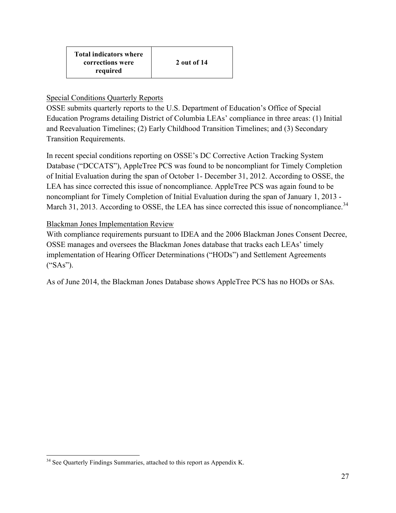#### Special Conditions Quarterly Reports

OSSE submits quarterly reports to the U.S. Department of Education's Office of Special Education Programs detailing District of Columbia LEAs' compliance in three areas: (1) Initial and Reevaluation Timelines; (2) Early Childhood Transition Timelines; and (3) Secondary Transition Requirements.

In recent special conditions reporting on OSSE's DC Corrective Action Tracking System Database ("DCCATS"), AppleTree PCS was found to be noncompliant for Timely Completion of Initial Evaluation during the span of October 1- December 31, 2012. According to OSSE, the LEA has since corrected this issue of noncompliance. AppleTree PCS was again found to be noncompliant for Timely Completion of Initial Evaluation during the span of January 1, 2013 - March 31, 2013. According to OSSE, the LEA has since corrected this issue of noncompliance.<sup>34</sup>

#### Blackman Jones Implementation Review

With compliance requirements pursuant to IDEA and the 2006 Blackman Jones Consent Decree, OSSE manages and oversees the Blackman Jones database that tracks each LEAs' timely implementation of Hearing Officer Determinations ("HODs") and Settlement Agreements ("SAs").

As of June 2014, the Blackman Jones Database shows AppleTree PCS has no HODs or SAs.

<sup>&</sup>lt;sup>34</sup> See Quarterly Findings Summaries, attached to this report as Appendix K.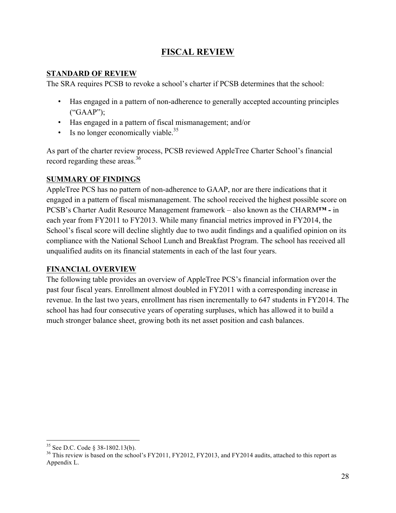## **FISCAL REVIEW**

#### **STANDARD OF REVIEW**

The SRA requires PCSB to revoke a school's charter if PCSB determines that the school:

- Has engaged in a pattern of non-adherence to generally accepted accounting principles ("GAAP");
- Has engaged in a pattern of fiscal mismanagement; and/or
- Is no longer economically viable.<sup>35</sup>

As part of the charter review process, PCSB reviewed AppleTree Charter School's financial record regarding these areas.<sup>36</sup>

#### **SUMMARY OF FINDINGS**

AppleTree PCS has no pattern of non-adherence to GAAP, nor are there indications that it engaged in a pattern of fiscal mismanagement. The school received the highest possible score on PCSB's Charter Audit Resource Management framework – also known as the CHARM**™ -** in each year from FY2011 to FY2013. While many financial metrics improved in FY2014, the School's fiscal score will decline slightly due to two audit findings and a qualified opinion on its compliance with the National School Lunch and Breakfast Program. The school has received all unqualified audits on its financial statements in each of the last four years.

#### **FINANCIAL OVERVIEW**

The following table provides an overview of AppleTree PCS's financial information over the past four fiscal years. Enrollment almost doubled in FY2011 with a corresponding increase in revenue. In the last two years, enrollment has risen incrementally to 647 students in FY2014. The school has had four consecutive years of operating surpluses, which has allowed it to build a much stronger balance sheet, growing both its net asset position and cash balances.

<sup>&</sup>lt;sup>35</sup> See D.C. Code § 38-1802.13(b).<br><sup>36</sup> This review is based on the school's FY2011, FY2012, FY2013, and FY2014 audits, attached to this report as Appendix L.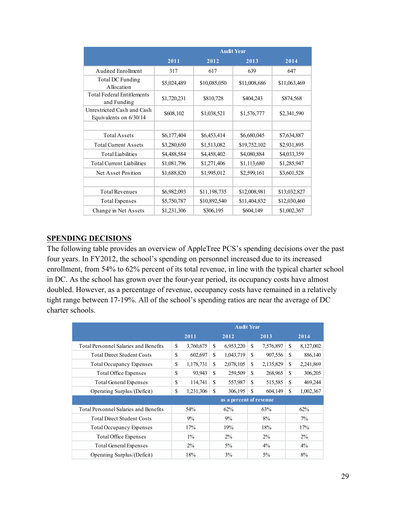|                                                      | <b>Audit Year</b> |              |              |              |  |  |  |
|------------------------------------------------------|-------------------|--------------|--------------|--------------|--|--|--|
|                                                      | 2011              | 2012         | 2013         | 2014         |  |  |  |
| <b>Audited Enrollment</b>                            | 317               | 617          | 639          | 647          |  |  |  |
| Total DC Funding<br>Allocation                       | \$5,024,489       | \$10,085,050 | \$11,008,686 | \$11,063,469 |  |  |  |
| <b>Total Federal Entitlements</b><br>and Funding     | \$1,720,231       | \$810,728    | \$404,243    | \$874,568    |  |  |  |
| Unrestricted Cash and Cash<br>Equivalents on 6/30/14 | \$608,102         | \$1,038,521  | \$1,576,777  | \$2,341,590  |  |  |  |
|                                                      |                   |              |              |              |  |  |  |
| <b>Total Assets</b>                                  | \$6,177,404       | \$6,453,414  | \$6,680,045  | \$7,634,887  |  |  |  |
| <b>Total Current Assets</b>                          | \$3,280,650       | \$1,513,082  | \$19,752,102 | \$2,931,895  |  |  |  |
| <b>Total Liabilities</b>                             | \$4,488,584       | \$4,458,402  | \$4,080,884  | \$4,033,359  |  |  |  |
| <b>Total Current Liabilities</b>                     | \$1,081,796       | \$1,271,406  | \$1,113,680  | \$1,285,947  |  |  |  |
| Net Asset Position                                   | \$1,688,820       | \$1,995,012  | \$2,599,161  | \$3,601,528  |  |  |  |
|                                                      |                   |              |              |              |  |  |  |
| <b>Total Revenues</b>                                | \$6,982,093       | \$11,198,735 | \$12,008,981 | \$13,032,827 |  |  |  |
| <b>Total Expenses</b>                                | \$5,750,787       | \$10,892,540 | \$11,404,832 | \$12,030,460 |  |  |  |
| Change in Net Assets                                 | \$1,231,306       | \$306,195    | \$604,149    | \$1,002,367  |  |  |  |

#### **SPENDING DECISIONS**

The following table provides an overview of AppleTree PCS's spending decisions over the past four years. In FY2012, the school's spending on personnel increased due to its increased enrollment, from 54% to 62% percent of its total revenue, in line with the typical charter school in DC. As the school has grown over the four-year period, its occupancy costs have almost doubled. However, as a percentage of revenue, occupancy costs have remained in a relatively tight range between 17-19%. All of the school's spending ratios are near the average of DC charter schools.

|                                              | <b>Audit Year</b> |              |               |                         |    |           |               |           |
|----------------------------------------------|-------------------|--------------|---------------|-------------------------|----|-----------|---------------|-----------|
|                                              |                   | 2011<br>2012 |               | 2013                    |    | 2014      |               |           |
| <b>Total Personnel Salaries and Benefits</b> | \$                | 3,760,675    | \$.           | 6,953,220               | \$ | 7,576,897 | S             | 8,127,002 |
| <b>Total Direct Student Costs</b>            | \$                | 602,697      | S             | 1,043,719               | S  | 907,556   | S             | 886,140   |
| <b>Total Occupancy Expenses</b>              | \$                | 1,178,731    | S             | 2,078,105               | S  | 2,135,829 | <sup>\$</sup> | 2,241,869 |
| Total Office Expenses                        | \$                | 93,943       | <sup>\$</sup> | 259,509                 | S  | 268,965   | <sup>\$</sup> | 306,205   |
| <b>Total General Expenses</b>                | \$                | 114,741      | S             | 557,987                 | \$ | 515,585   | S             | 469,244   |
| Operating Surplus/(Deficit)                  | \$                | 1,231,306    | <sup>\$</sup> | 306,195                 | \$ | 604,149   | S             | 1,002,367 |
|                                              |                   |              |               | as a percent of revenue |    |           |               |           |
| <b>Total Personnel Salaries and Benefits</b> |                   | 54%          |               | 62%                     |    | 63%       |               | 62%       |
| <b>Total Direct Student Costs</b>            |                   | $9\%$        |               | 9%                      |    | 8%        |               | $7\%$     |
| <b>Total Occupancy Expenses</b>              |                   | 17%          |               | 19%                     |    | 18%       |               | 17%       |
| <b>Total Office Expenses</b>                 |                   | $1\%$        |               | $2\%$                   |    | $2\%$     |               | $2\%$     |
| <b>Total General Expenses</b>                |                   | $2\%$        |               | $5\%$                   |    | $4\%$     |               | $4\%$     |
| Operating Surplus/(Deficit)                  |                   | 18%          |               | $3\%$                   |    | $5\%$     |               | 8%        |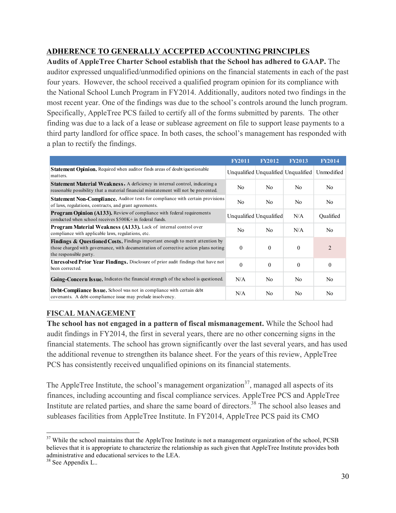#### **ADHERENCE TO GENERALLY ACCEPTED ACCOUNTING PRINCIPLES**

**Audits of AppleTree Charter School establish that the School has adhered to GAAP.** The auditor expressed unqualified/unmodified opinions on the financial statements in each of the past four years. However, the school received a qualified program opinion for its compliance with the National School Lunch Program in FY2014. Additionally, auditors noted two findings in the most recent year. One of the findings was due to the school's controls around the lunch program. Specifically, AppleTree PCS failed to certify all of the forms submitted by parents. The other finding was due to a lack of a lease or sublease agreement on file to support lease payments to a third party landlord for office space. In both cases, the school's management has responded with a plan to rectify the findings.

|                                                                                                                                                                                                          | <b>FY2011</b>           | <b>FY2012</b> | <b>FY2013</b>                       | <b>FY2014</b>  |
|----------------------------------------------------------------------------------------------------------------------------------------------------------------------------------------------------------|-------------------------|---------------|-------------------------------------|----------------|
| Statement Opinion. Required when auditor finds areas of doubt/questionable<br>matters.                                                                                                                   |                         |               | Unqualified Unqualified Unqualified | Unmodified     |
| <b>Statement Material Weakness.</b> A deficiency in internal control, indicating a<br>reasonable possibility that a material financial misstatement will not be prevented.                               | N <sub>0</sub>          | No.           | N <sub>0</sub>                      | N <sub>0</sub> |
| Statement Non-Compliance. Auditor tests for compliance with certain provisions<br>of laws, regulations, contracts, and grant agreements.                                                                 | N <sub>0</sub>          | No.           | No.                                 | N <sub>0</sub> |
| Program Opinion (A133). Review of compliance with federal requirements<br>conducted when school receives \$500K+ in federal funds.                                                                       | Unqualified Unqualified |               | N/A                                 | Qualified      |
| <b>Program Material Weakness (A133).</b> Lack of internal control over<br>compliance with applicable laws, regulations, etc.                                                                             | No.                     | No.           | N/A                                 | No.            |
| <b>Findings &amp; Ouestioned Costs.</b> Findings important enough to merit attention by<br>those charged with governance, with documentation of corrective action plans noting<br>the responsible party. | $\theta$                | $\Omega$      | $\theta$                            | $\overline{2}$ |
| <b>Unresolved Prior Year Findings.</b> Disclosure of prior audit findings that have not<br>been corrected.                                                                                               | $\theta$                | $\Omega$      | $\theta$                            | $\Omega$       |
| <b>Going-Concern Issue.</b> Indicates the financial strength of the school is questioned.                                                                                                                | N/A                     | No.           | N <sub>0</sub>                      | N <sub>0</sub> |
| <b>Debt-Compliance Issue.</b> School was not in compliance with certain debt<br>covenants. A debt-compliance issue may prelude insolvency.                                                               | N/A                     | No.           | N <sub>0</sub>                      | N <sub>0</sub> |

## **FISCAL MANAGEMENT**

**The school has not engaged in a pattern of fiscal mismanagement.** While the School had audit findings in FY2014, the first in several years, there are no other concerning signs in the financial statements. The school has grown significantly over the last several years, and has used the additional revenue to strengthen its balance sheet. For the years of this review, AppleTree PCS has consistently received unqualified opinions on its financial statements.

The AppleTree Institute, the school's management organization<sup>37</sup>, managed all aspects of its finances, including accounting and fiscal compliance services. AppleTree PCS and AppleTree Institute are related parties, and share the same board of directors.<sup>38</sup> The school also leases and subleases facilities from AppleTree Institute. In FY2014, AppleTree PCS paid its CMO

<sup>&</sup>lt;sup>37</sup> While the school maintains that the AppleTree Institute is not a management organization of the school, PCSB believes that it is appropriate to characterize the relationship as such given that AppleTree Institute provides both administrative and educational services to the LEA.

<sup>&</sup>lt;sup>38</sup> See Appendix L..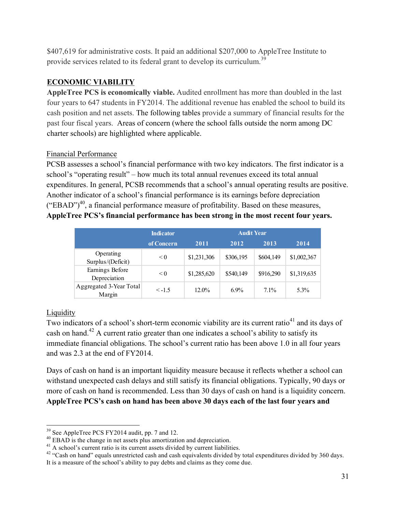\$407,619 for administrative costs. It paid an additional \$207,000 to AppleTree Institute to provide services related to its federal grant to develop its curriculum.<sup>39</sup>

## **ECONOMIC VIABILITY**

**AppleTree PCS is economically viable.** Audited enrollment has more than doubled in the last four years to 647 students in FY2014. The additional revenue has enabled the school to build its cash position and net assets. The following tables provide a summary of financial results for the past four fiscal years. Areas of concern (where the school falls outside the norm among DC charter schools) are highlighted where applicable.

#### Financial Performance

PCSB assesses a school's financial performance with two key indicators. The first indicator is a school's "operating result" – how much its total annual revenues exceed its total annual expenditures. In general, PCSB recommends that a school's annual operating results are positive. Another indicator of a school's financial performance is its earnings before depreciation  $("EBAD")<sup>40</sup>$ , a financial performance measure of profitability. Based on these measures, **AppleTree PCS's financial performance has been strong in the most recent four years.**

|                                   | <b>Indicator</b> |             | <b>Audit Year</b> |           |             |
|-----------------------------------|------------------|-------------|-------------------|-----------|-------------|
|                                   | of Concern       | 2011        | 2012              | 2013      | 2014        |
| Operating<br>Surplus/(Deficit)    | < 0              | \$1,231,306 | \$306,195         | \$604,149 | \$1,002,367 |
| Earnings Before<br>Depreciation   | < 0              | \$1,285,620 | \$540,149         | \$916,290 | \$1,319,635 |
| Aggregated 3-Year Total<br>Margin | $\le -1.5$       | $12.0\%$    | $6.9\%$           | $7.1\%$   | 5.3%        |

## **Liquidity**

Two indicators of a school's short-term economic viability are its current ratio<sup>41</sup> and its days of cash on hand.<sup>42</sup> A current ratio greater than one indicates a school's ability to satisfy its immediate financial obligations. The school's current ratio has been above 1.0 in all four years and was 2.3 at the end of FY2014.

Days of cash on hand is an important liquidity measure because it reflects whether a school can withstand unexpected cash delays and still satisfy its financial obligations. Typically, 90 days or more of cash on hand is recommended. Less than 30 days of cash on hand is a liquidity concern. **AppleTree PCS's cash on hand has been above 30 days each of the last four years and** 

<sup>&</sup>lt;sup>39</sup> See AppleTree PCS FY2014 audit, pp. 7 and 12.<br><sup>40</sup> EBAD is the change in net assets plus amortization and depreciation.<br><sup>41</sup> A school's current ratio is its current assets divided by current liabilities.<br><sup>42</sup> "Cash o It is a measure of the school's ability to pay debts and claims as they come due.